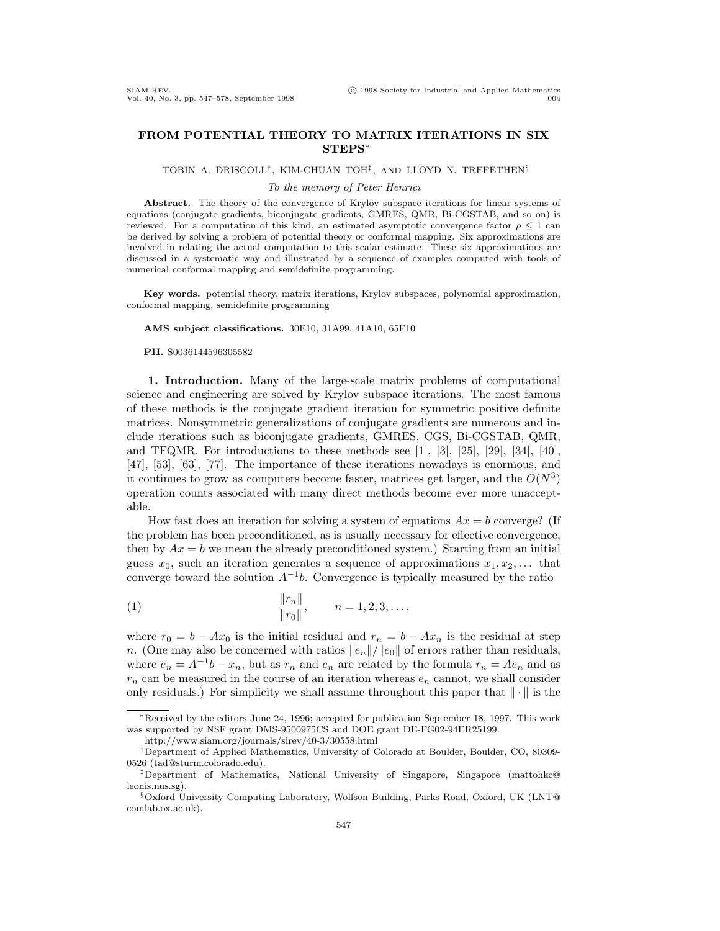## **FROM POTENTIAL THEORY TO MATRIX ITERATIONS IN SIX STEPS**<sup>∗</sup>

TOBIN A. DRISCOLL†, KIM-CHUAN TOH‡, AND LLOYD N. TREFETHEN§

## To the memory of Peter Henrici

Abstract. The theory of the convergence of Krylov subspace iterations for linear systems of equations (conjugate gradients, biconjugate gradients, GMRES, QMR, Bi-CGSTAB, and so on) is reviewed. For a computation of this kind, an estimated asymptotic convergence factor  $\rho \leq 1$  can be derived by solving a problem of potential theory or conformal mapping. Six approximations are involved in relating the actual computation to this scalar estimate. These six approximations are discussed in a systematic way and illustrated by a sequence of examples computed with tools of numerical conformal mapping and semidefinite programming.

**Key words.** potential theory, matrix iterations, Krylov subspaces, polynomial approximation, conformal mapping, semidefinite programming

## **AMS subject classifications.** 30E10, 31A99, 41A10, 65F10

**PII.** S0036144596305582

**1. Introduction.** Many of the large-scale matrix problems of computational science and engineering are solved by Krylov subspace iterations. The most famous of these methods is the conjugate gradient iteration for symmetric positive definite matrices. Nonsymmetric generalizations of conjugate gradients are numerous and include iterations such as biconjugate gradients, GMRES, CGS, Bi-CGSTAB, QMR, and TFQMR. For introductions to these methods see [1], [3], [25], [29], [34], [40], [47], [53], [63], [77]. The importance of these iterations nowadays is enormous, and it continues to grow as computers become faster, matrices get larger, and the  $O(N^3)$ operation counts associated with many direct methods become ever more unacceptable.

How fast does an iteration for solving a system of equations  $Ax = b$  converge? (If the problem has been preconditioned, as is usually necessary for effective convergence, then by  $Ax = b$  we mean the already preconditioned system.) Starting from an initial guess  $x_0$ , such an iteration generates a sequence of approximations  $x_1, x_2, \ldots$  that converge toward the solution  $A^{-1}b$ . Convergence is typically measured by the ratio

(1) 
$$
\frac{\|r_n\|}{\|r_0\|}, \qquad n = 1, 2, 3, \dots,
$$

where  $r_0 = b - Ax_0$  is the initial residual and  $r_n = b - Ax_n$  is the residual at step n. (One may also be concerned with ratios  $||e_n||/||e_0||$  of errors rather than residuals, where  $e_n = A^{-1}b - x_n$ , but as  $r_n$  and  $e_n$  are related by the formula  $r_n = Ae_n$  and as  $r_n$  can be measured in the course of an iteration whereas  $e_n$  cannot, we shall consider only residuals.) For simplicity we shall assume throughout this paper that  $\|\cdot\|$  is the

<sup>∗</sup>Received by the editors June 24, 1996; accepted for publication September 18, 1997. This work was supported by NSF grant DMS-9500975CS and DOE grant DE-FG02-94ER25199.

http://www.siam.org/journals/sirev/40-3/30558.html

<sup>†</sup>Department of Applied Mathematics, University of Colorado at Boulder, Boulder, CO, 80309- 0526 (tad@sturm.colorado.edu).

<sup>‡</sup>Department of Mathematics, National University of Singapore, Singapore (mattohkc@ leonis.nus.sg).

<sup>§</sup>Oxford University Computing Laboratory, Wolfson Building, Parks Road, Oxford, UK (LNT@ comlab.ox.ac.uk).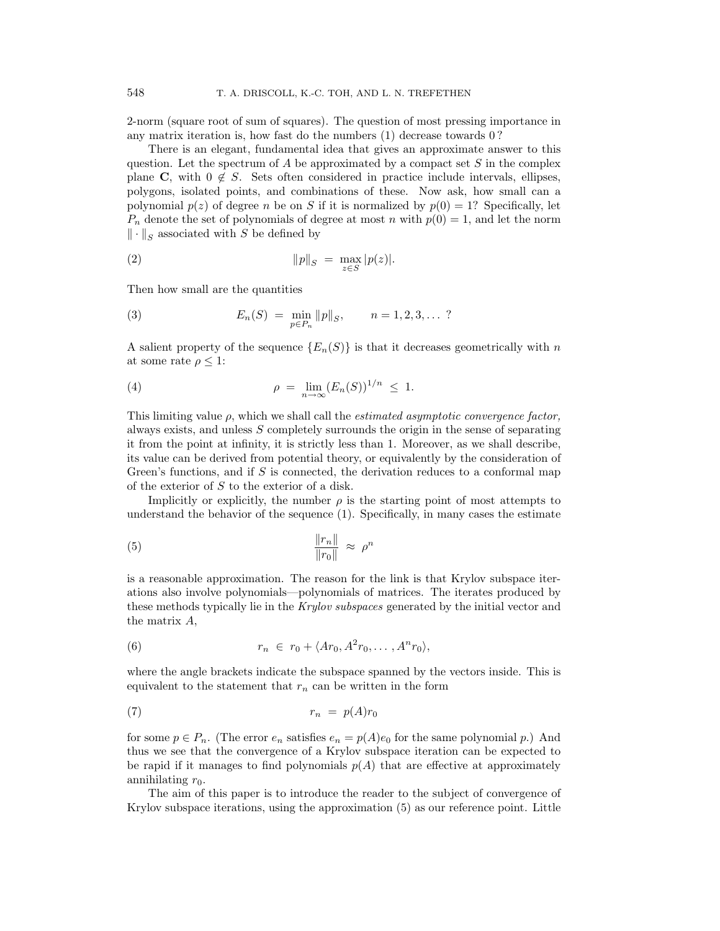2-norm (square root of sum of squares). The question of most pressing importance in any matrix iteration is, how fast do the numbers (1) decrease towards 0 ?

There is an elegant, fundamental idea that gives an approximate answer to this question. Let the spectrum of  $A$  be approximated by a compact set  $S$  in the complex plane **C**, with  $0 \notin S$ . Sets often considered in practice include intervals, ellipses, polygons, isolated points, and combinations of these. Now ask, how small can a polynomial  $p(z)$  of degree n be on S if it is normalized by  $p(0) = 1$ ? Specifically, let  $P_n$  denote the set of polynomials of degree at most n with  $p(0) = 1$ , and let the norm  $\|\cdot\|_S$  associated with S be defined by

(2) 
$$
\|p\|_S = \max_{z \in S} |p(z)|.
$$

Then how small are the quantities

(3) 
$$
E_n(S) = \min_{p \in P_n} ||p||_S, \qquad n = 1, 2, 3, ... ?
$$

A salient property of the sequence  $\{E_n(S)\}\$ is that it decreases geometrically with n at some rate  $\rho \leq 1$ :

(4) 
$$
\rho = \lim_{n \to \infty} (E_n(S))^{1/n} \leq 1.
$$

This limiting value  $\rho$ , which we shall call the *estimated asymptotic convergence factor*, always exists, and unless S completely surrounds the origin in the sense of separating it from the point at infinity, it is strictly less than 1. Moreover, as we shall describe, its value can be derived from potential theory, or equivalently by the consideration of Green's functions, and if  $S$  is connected, the derivation reduces to a conformal map of the exterior of  $S$  to the exterior of a disk.

Implicitly or explicitly, the number  $\rho$  is the starting point of most attempts to understand the behavior of the sequence (1). Specifically, in many cases the estimate

$$
\frac{\|r_n\|}{\|r_0\|} \approx \rho^n
$$

is a reasonable approximation. The reason for the link is that Krylov subspace iterations also involve polynomials—polynomials of matrices. The iterates produced by these methods typically lie in the Krylov subspaces generated by the initial vector and the matrix A,

(6) 
$$
r_n \in r_0 + \langle Ar_0, A^2r_0, \ldots, A^nr_0 \rangle,
$$

where the angle brackets indicate the subspace spanned by the vectors inside. This is equivalent to the statement that  $r_n$  can be written in the form

$$
(7) \t\t\t r_n = p(A)r_0
$$

for some  $p \in P_n$ . (The error  $e_n$  satisfies  $e_n = p(A)e_0$  for the same polynomial p.) And thus we see that the convergence of a Krylov subspace iteration can be expected to be rapid if it manages to find polynomials  $p(A)$  that are effective at approximately annihilating  $r_0$ .

The aim of this paper is to introduce the reader to the subject of convergence of Krylov subspace iterations, using the approximation (5) as our reference point. Little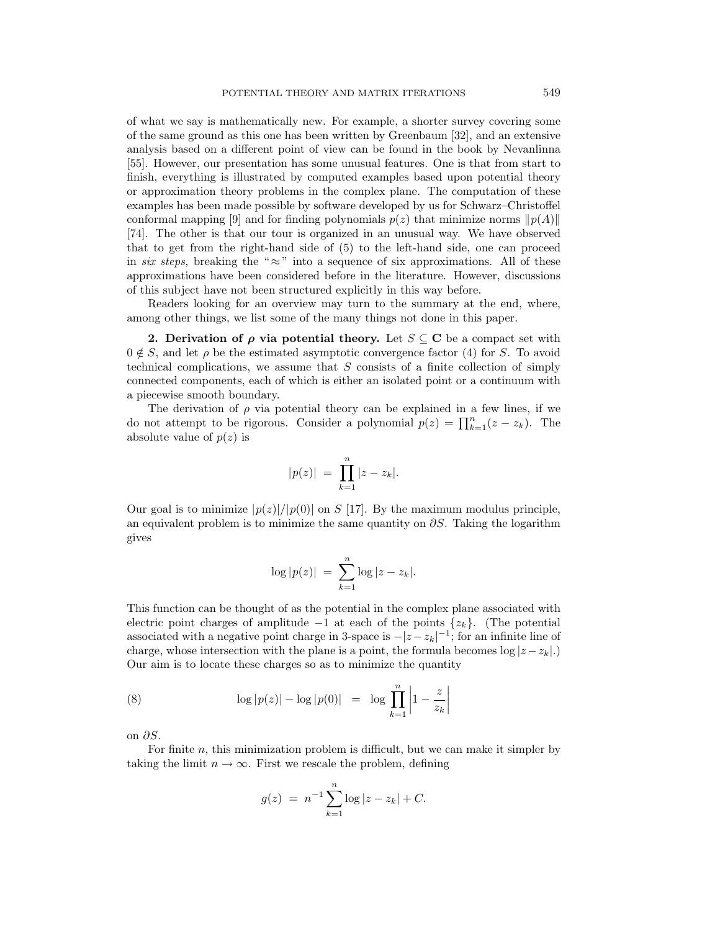of what we say is mathematically new. For example, a shorter survey covering some of the same ground as this one has been written by Greenbaum [32], and an extensive analysis based on a different point of view can be found in the book by Nevanlinna [55]. However, our presentation has some unusual features. One is that from start to finish, everything is illustrated by computed examples based upon potential theory or approximation theory problems in the complex plane. The computation of these examples has been made possible by software developed by us for Schwarz–Christoffel conformal mapping [9] and for finding polynomials  $p(z)$  that minimize norms  $||p(A)||$ [74]. The other is that our tour is organized in an unusual way. We have observed that to get from the right-hand side of (5) to the left-hand side, one can proceed in six steps, breaking the " $\approx$ " into a sequence of six approximations. All of these approximations have been considered before in the literature. However, discussions of this subject have not been structured explicitly in this way before.

Readers looking for an overview may turn to the summary at the end, where, among other things, we list some of the many things not done in this paper.

**2. Derivation of** *ρ* **via potential theory.** Let  $S \subseteq \mathbb{C}$  be a compact set with  $0 \notin S$ , and let  $\rho$  be the estimated asymptotic convergence factor (4) for S. To avoid technical complications, we assume that  $S$  consists of a finite collection of simply connected components, each of which is either an isolated point or a continuum with a piecewise smooth boundary.

The derivation of  $\rho$  via potential theory can be explained in a few lines, if we do not attempt to be rigorous. Consider a polynomial  $p(z) = \prod_{k=1}^{n} (z - z_k)$ . The absolute value of  $p(z)$  is

$$
|p(z)| = \prod_{k=1}^{n} |z - z_k|.
$$

Our goal is to minimize  $|p(z)|/|p(0)|$  on S [17]. By the maximum modulus principle, an equivalent problem is to minimize the same quantity on  $\partial S$ . Taking the logarithm gives

$$
\log |p(z)| = \sum_{k=1}^{n} \log |z - z_k|.
$$

This function can be thought of as the potential in the complex plane associated with electric point charges of amplitude −1 at each of the points  $\{z_k\}$ . (The potential associated with a negative point charge in 3-space is  $-|z - z_k|^{-1}$ ; for an infinite line of charge, whose intersection with the plane is a point, the formula becomes  $\log |z - z_k|$ . Our aim is to locate these charges so as to minimize the quantity

(8) 
$$
\log |p(z)| - \log |p(0)| = \log \prod_{k=1}^{n} \left| 1 - \frac{z}{z_k} \right|
$$

on  $\partial S$ .

For finite n, this minimization problem is difficult, but we can make it simpler by taking the limit  $n \to \infty$ . First we rescale the problem, defining

$$
g(z) = n^{-1} \sum_{k=1}^{n} \log |z - z_k| + C.
$$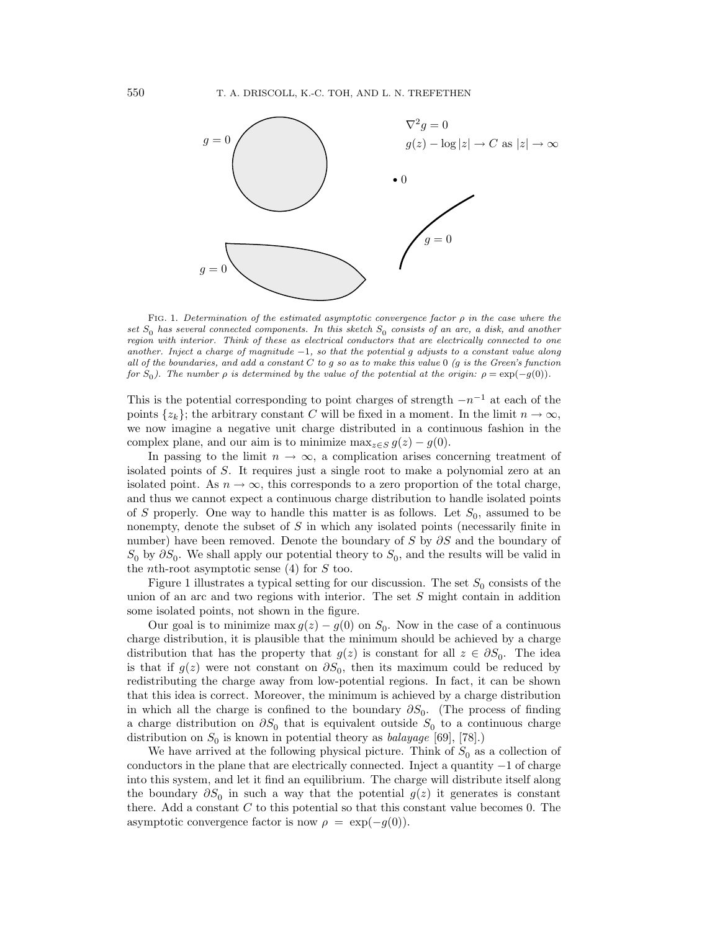

FIG. 1. Determination of the estimated asymptotic convergence factor  $\rho$  in the case where the set  $S_0$  has several connected components. In this sketch  $S_0$  consists of an arc, a disk, and another region with interior. Think of these as electrical conductors that are electrically connected to one another. Inject a charge of magnitude  $-1$ , so that the potential g adjusts to a constant value along all of the boundaries, and add a constant  $C$  to  $g$  so as to make this value  $0$  ( $g$  is the Green's function for  $S_0$ ). The number  $\rho$  is determined by the value of the potential at the origin:  $\rho = \exp(-g(0))$ .

This is the potential corresponding to point charges of strength  $-n^{-1}$  at each of the points  $\{z_k\}$ ; the arbitrary constant C will be fixed in a moment. In the limit  $n \to \infty$ , we now imagine a negative unit charge distributed in a continuous fashion in the complex plane, and our aim is to minimize  $\max_{z \in S} g(z) - g(0)$ .

In passing to the limit  $n \to \infty$ , a complication arises concerning treatment of isolated points of S. It requires just a single root to make a polynomial zero at an isolated point. As  $n \to \infty$ , this corresponds to a zero proportion of the total charge, and thus we cannot expect a continuous charge distribution to handle isolated points of S properly. One way to handle this matter is as follows. Let  $S_0$ , assumed to be nonempty, denote the subset of S in which any isolated points (necessarily finite in number) have been removed. Denote the boundary of S by  $\partial S$  and the boundary of  $S_0$  by  $\partial S_0$ . We shall apply our potential theory to  $S_0$ , and the results will be valid in the *n*th-root asymptotic sense  $(4)$  for S too.

Figure 1 illustrates a typical setting for our discussion. The set  $S_0$  consists of the union of an arc and two regions with interior. The set  $S$  might contain in addition some isolated points, not shown in the figure.

Our goal is to minimize max  $g(z) - g(0)$  on  $S_0$ . Now in the case of a continuous charge distribution, it is plausible that the minimum should be achieved by a charge distribution that has the property that  $g(z)$  is constant for all  $z \in \partial S_0$ . The idea is that if  $g(z)$  were not constant on  $\partial S_0$ , then its maximum could be reduced by redistributing the charge away from low-potential regions. In fact, it can be shown that this idea is correct. Moreover, the minimum is achieved by a charge distribution in which all the charge is confined to the boundary  $\partial S_0$ . (The process of finding a charge distribution on  $\partial S_0$  that is equivalent outside  $S_0$  to a continuous charge distribution on  $S_0$  is known in potential theory as *balayage* [69], [78].)

We have arrived at the following physical picture. Think of  $S_0$  as a collection of conductors in the plane that are electrically connected. Inject a quantity −1 of charge into this system, and let it find an equilibrium. The charge will distribute itself along the boundary  $\partial S_0$  in such a way that the potential  $g(z)$  it generates is constant there. Add a constant  $C$  to this potential so that this constant value becomes 0. The asymptotic convergence factor is now  $\rho = \exp(-g(0)).$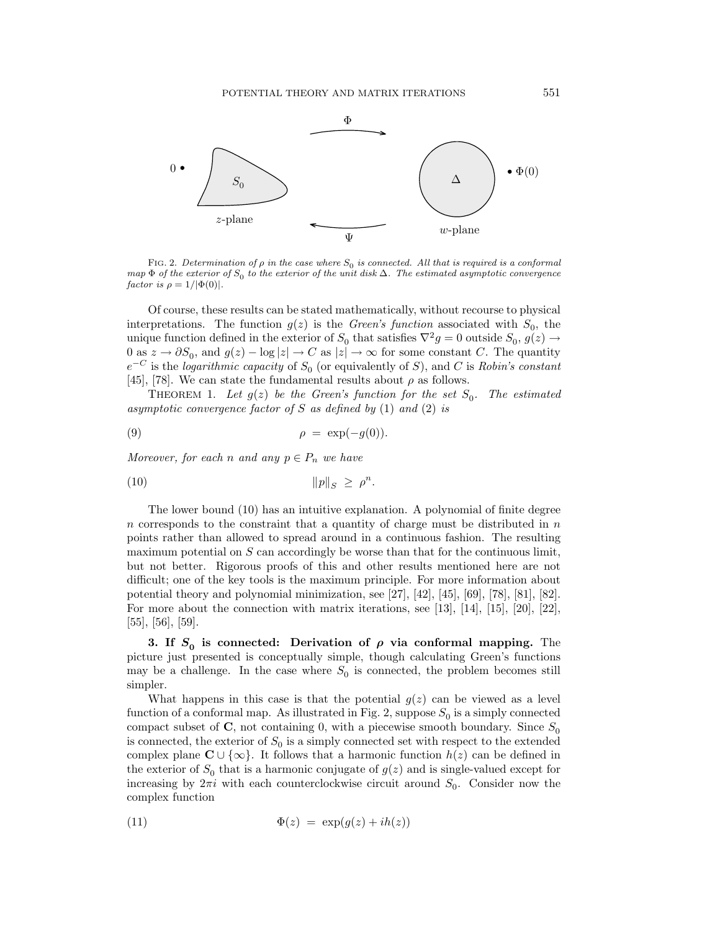

FIG. 2. Determination of  $\rho$  in the case where  $S_0$  is connected. All that is required is a conformal map  $\Phi$  of the exterior of S<sub>0</sub> to the exterior of the unit disk  $\Delta$ . The estimated asymptotic convergence factor is  $\rho = 1/|\Phi(0)|$ .

Of course, these results can be stated mathematically, without recourse to physical interpretations. The function  $g(z)$  is the *Green's function* associated with  $S_0$ , the unique function defined in the exterior of  $S_0$  that satisfies  $\nabla^2 g = 0$  outside  $S_0$ ,  $g(z) \rightarrow$ 0 as  $z \to \partial S_0$ , and  $g(z) - \log |z| \to C$  as  $|z| \to \infty$  for some constant C. The quantity  $e^{-C}$  is the *logarithmic capacity* of  $S_0$  (or equivalently of S), and C is Robin's constant [45], [78]. We can state the fundamental results about  $\rho$  as follows.

THEOREM 1. Let  $g(z)$  be the Green's function for the set  $S_0$ . The estimated asymptotic convergence factor of S as defined by  $(1)$  and  $(2)$  is

$$
\rho = \exp(-g(0)).
$$

Moreover, for each n and any  $p \in P_n$  we have

$$
||p||_S \ge \rho^n.
$$

The lower bound (10) has an intuitive explanation. A polynomial of finite degree n corresponds to the constraint that a quantity of charge must be distributed in  $n$ points rather than allowed to spread around in a continuous fashion. The resulting maximum potential on  $S$  can accordingly be worse than that for the continuous limit, but not better. Rigorous proofs of this and other results mentioned here are not difficult; one of the key tools is the maximum principle. For more information about potential theory and polynomial minimization, see [27], [42], [45], [69], [78], [81], [82]. For more about the connection with matrix iterations, see [13], [14], [15], [20], [22], [55], [56], [59].

**3.** If  $S_0$  is connected: Derivation of  $\rho$  via conformal mapping. The picture just presented is conceptually simple, though calculating Green's functions may be a challenge. In the case where  $S_0$  is connected, the problem becomes still simpler.

What happens in this case is that the potential  $g(z)$  can be viewed as a level function of a conformal map. As illustrated in Fig. 2, suppose  $S_0$  is a simply connected compact subset of  $\mathbf{C}$ , not containing 0, with a piecewise smooth boundary. Since  $S_0$ is connected, the exterior of  $S_0$  is a simply connected set with respect to the extended complex plane  $\mathbb{C} \cup \{\infty\}$ . It follows that a harmonic function  $h(z)$  can be defined in the exterior of  $S_0$  that is a harmonic conjugate of  $g(z)$  and is single-valued except for increasing by  $2\pi i$  with each counterclockwise circuit around  $S_0$ . Consider now the complex function

$$
\Phi(z) = \exp(g(z) + ih(z))
$$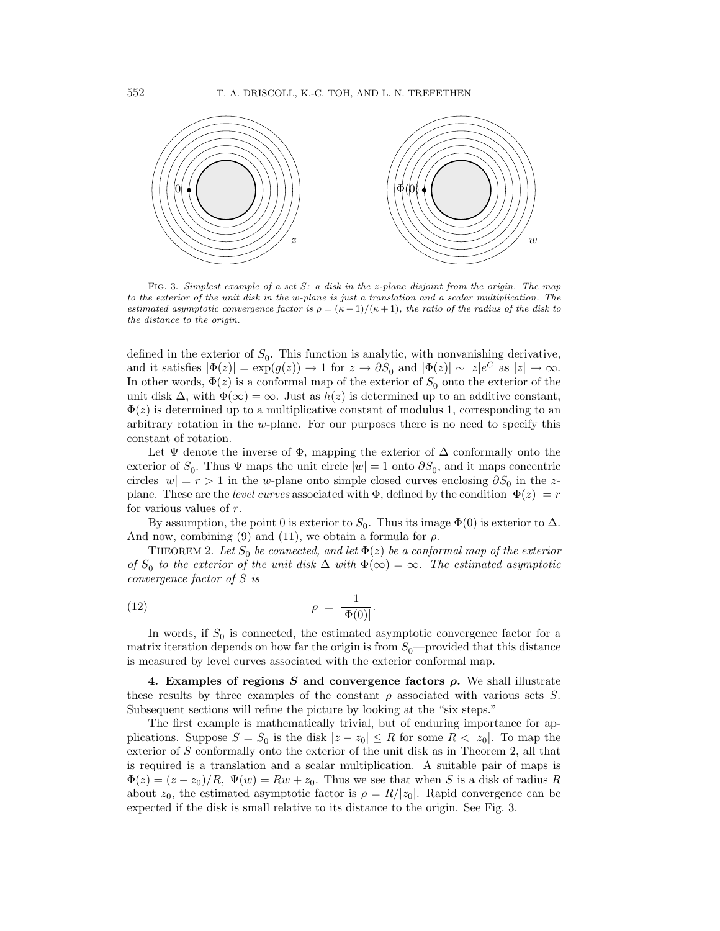

FIG. 3. Simplest example of a set S: a disk in the z-plane disjoint from the origin. The map to the exterior of the unit disk in the w-plane is just a translation and a scalar multiplication. The estimated asymptotic convergence factor is  $\rho = (\kappa - 1)/(\kappa + 1)$ , the ratio of the radius of the disk to the distance to the origin.

defined in the exterior of  $S_0$ . This function is analytic, with nonvanishing derivative, and it satisfies  $|\Phi(z)| = \exp(g(z)) \to 1$  for  $z \to \partial S_0$  and  $|\Phi(z)| \sim |z|e^C$  as  $|z| \to \infty$ . In other words,  $\Phi(z)$  is a conformal map of the exterior of  $S_0$  onto the exterior of the unit disk  $\Delta$ , with  $\Phi(\infty) = \infty$ . Just as  $h(z)$  is determined up to an additive constant,  $\Phi(z)$  is determined up to a multiplicative constant of modulus 1, corresponding to an arbitrary rotation in the w-plane. For our purposes there is no need to specify this constant of rotation.

Let  $\Psi$  denote the inverse of  $\Phi$ , mapping the exterior of  $\Delta$  conformally onto the exterior of  $S_0$ . Thus  $\Psi$  maps the unit circle  $|w|=1$  onto  $\partial S_0$ , and it maps concentric circles  $|w| = r > 1$  in the w-plane onto simple closed curves enclosing  $\partial S_0$  in the zplane. These are the *level curves* associated with  $\Phi$ , defined by the condition  $|\Phi(z)| = r$ for various values of r.

By assumption, the point 0 is exterior to  $S_0$ . Thus its image  $\Phi(0)$  is exterior to  $\Delta$ . And now, combining (9) and (11), we obtain a formula for  $\rho$ .

THEOREM 2. Let  $S_0$  be connected, and let  $\Phi(z)$  be a conformal map of the exterior of  $S_0$  to the exterior of the unit disk  $\Delta$  with  $\Phi(\infty) = \infty$ . The estimated asymptotic convergence factor of S is

$$
\rho = \frac{1}{|\Phi(0)|}.
$$

In words, if  $S_0$  is connected, the estimated asymptotic convergence factor for a matrix iteration depends on how far the origin is from  $S_0$ —provided that this distance is measured by level curves associated with the exterior conformal map.

**4. Examples of regions** *S* **and convergence factors** *ρ***.** We shall illustrate these results by three examples of the constant  $\rho$  associated with various sets S. Subsequent sections will refine the picture by looking at the "six steps."

The first example is mathematically trivial, but of enduring importance for applications. Suppose  $S = S_0$  is the disk  $|z - z_0| \leq R$  for some  $R < |z_0|$ . To map the exterior of S conformally onto the exterior of the unit disk as in Theorem 2, all that is required is a translation and a scalar multiplication. A suitable pair of maps is  $\Phi(z)=(z-z_0)/R$ ,  $\Psi(w) = Rw + z_0$ . Thus we see that when S is a disk of radius R about  $z_0$ , the estimated asymptotic factor is  $\rho = R/|z_0|$ . Rapid convergence can be expected if the disk is small relative to its distance to the origin. See Fig. 3.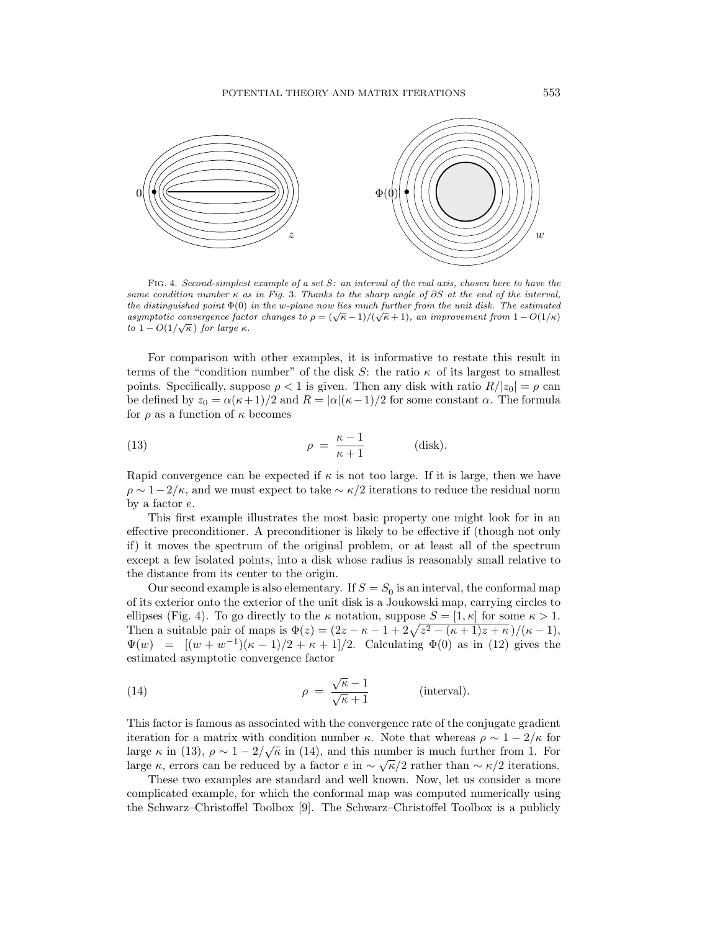

FIG. 4. Second-simplest example of a set S: an interval of the real axis, chosen here to have the same condition number  $\kappa$  as in Fig. 3. Thanks to the sharp angle of ∂S at the end of the interval, the distinguished point  $\Phi(0)$  in the w-plane now lies much further from the unit disk. The estimated are assumptored by the  $\chi$  and  $\chi$  and  $\chi$  are  $\chi$  and  $\chi$  and  $\chi$  and  $\chi$  and  $\chi$ . The estimated asymptotic convergence factor changes to  $\rho = (\sqrt{\kappa} - 1)/(\sqrt{\kappa} + 1)$ , an improvement from  $1 - O(1/\kappa)$  $usymptotic convergence$  fuctors to  $1 - O(1/\sqrt{\kappa})$  for large κ.

For comparison with other examples, it is informative to restate this result in terms of the "condition number" of the disk S: the ratio  $\kappa$  of its largest to smallest points. Specifically, suppose  $\rho < 1$  is given. Then any disk with ratio  $R/|z_0| = \rho$  can be defined by  $z_0 = \alpha(\kappa + 1)/2$  and  $R = |\alpha|(\kappa - 1)/2$  for some constant  $\alpha$ . The formula for  $\rho$  as a function of  $\kappa$  becomes

(13) 
$$
\rho = \frac{\kappa - 1}{\kappa + 1}
$$
 (disk).

Rapid convergence can be expected if  $\kappa$  is not too large. If it is large, then we have  $\rho \sim 1-2/\kappa$ , and we must expect to take  $\sim \kappa/2$  iterations to reduce the residual norm by a factor e.

This first example illustrates the most basic property one might look for in an effective preconditioner. A preconditioner is likely to be effective if (though not only if) it moves the spectrum of the original problem, or at least all of the spectrum except a few isolated points, into a disk whose radius is reasonably small relative to the distance from its center to the origin.

Our second example is also elementary. If  $S = S_0$  is an interval, the conformal map of its exterior onto the exterior of the unit disk is a Joukowski map, carrying circles to ellipses (Fig. 4). To go directly to the  $\kappa$  notation, suppose  $S = [1, \kappa]$  for some  $\kappa > 1$ . Then a suitable pair of maps is  $\Phi(z) = (2z - \kappa - 1 + 2\sqrt{z^2 - (\kappa + 1)z + \kappa})/(\kappa - 1)$ ,  $\Psi(w) = [(w+w^{-1})(\kappa-1)/2 + \kappa+1]/2$ . Calculating  $\Phi(0)$  as in (12) gives the estimated asymptotic convergence factor

(14) 
$$
\rho = \frac{\sqrt{\kappa} - 1}{\sqrt{\kappa} + 1}
$$
 (interval).

This factor is famous as associated with the convergence rate of the conjugate gradient iteration for a matrix with condition number  $\kappa$ . Note that whereas  $\rho \sim 1 - 2/\kappa$  for large  $\kappa$  in (13),  $\rho \sim 1 - 2/\sqrt{\kappa}$  in (14), and this number is much further from 1. For large κ, errors can be reduced by a factor  $e$  in  $\sim \sqrt{\kappa}/2$  rather than  $\sim \kappa/2$  iterations.

These two examples are standard and well known. Now, let us consider a more complicated example, for which the conformal map was computed numerically using the Schwarz–Christoffel Toolbox [9]. The Schwarz–Christoffel Toolbox is a publicly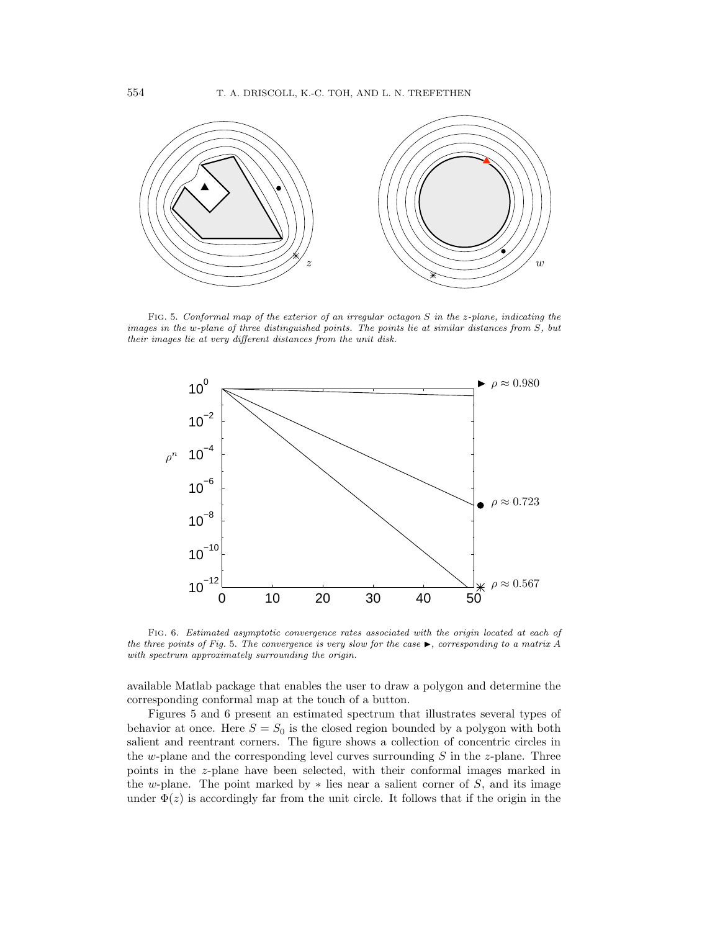

FIG. 5. Conformal map of the exterior of an irregular octagon S in the z-plane, indicating the images in the w-plane of three distinguished points. The points lie at similar distances from S, but their images lie at very different distances from the unit disk.



FIG. 6. Estimated asymptotic convergence rates associated with the origin located at each of the three points of Fig. 5. The convergence is very slow for the case  $\blacktriangleright$ , corresponding to a matrix A with spectrum approximately surrounding the origin.

available Matlab package that enables the user to draw a polygon and determine the corresponding conformal map at the touch of a button.

Figures 5 and 6 present an estimated spectrum that illustrates several types of behavior at once. Here  $S = S_0$  is the closed region bounded by a polygon with both salient and reentrant corners. The figure shows a collection of concentric circles in the w-plane and the corresponding level curves surrounding  $S$  in the z-plane. Three points in the z-plane have been selected, with their conformal images marked in the w-plane. The point marked by  $*$  lies near a salient corner of S, and its image under  $\Phi(z)$  is accordingly far from the unit circle. It follows that if the origin in the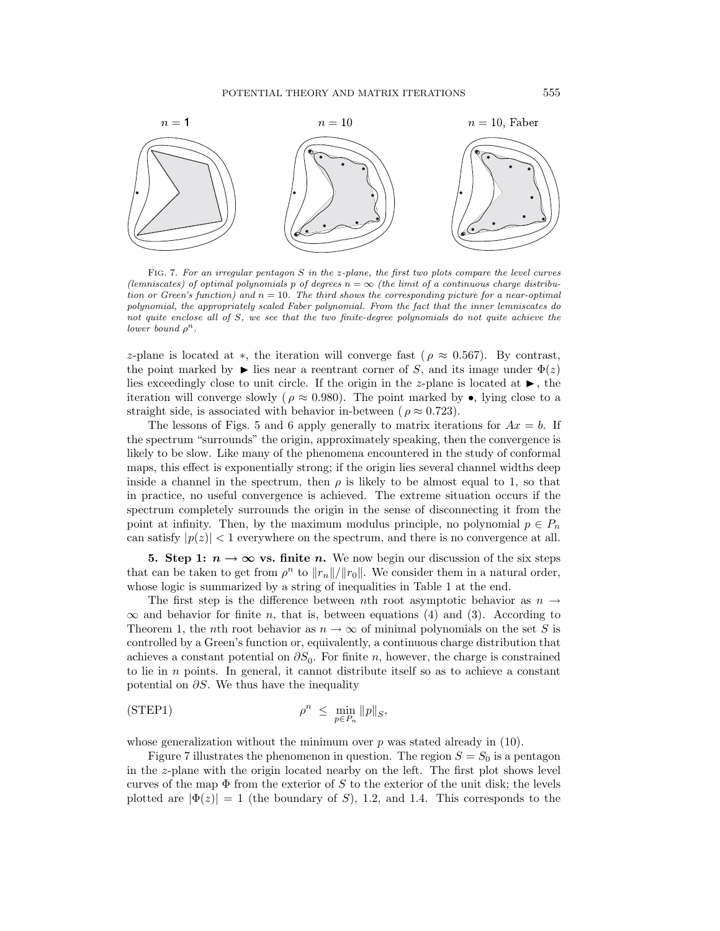

FIG. 7. For an irregular pentagon S in the z-plane, the first two plots compare the level curves (lemniscates) of optimal polynomials p of degrees  $n = \infty$  (the limit of a continuous charge distribution or Green's function) and  $n = 10$ . The third shows the corresponding picture for a near-optimal polynomial, the appropriately scaled Faber polynomial. From the fact that the inner lemniscates do not quite enclose all of S, we see that the two finite-degree polynomials do not quite achieve the lower bound  $\rho^n$ .

z-plane is located at \*, the iteration will converge fast ( $\rho \approx 0.567$ ). By contrast, the point marked by  $\blacktriangleright$  lies near a reentrant corner of S, and its image under  $\Phi(z)$ lies exceedingly close to unit circle. If the origin in the z-plane is located at  $\blacktriangleright$ , the iteration will converge slowly ( $\rho \approx 0.980$ ). The point marked by  $\bullet$ , lying close to a straight side, is associated with behavior in-between ( $\rho \approx 0.723$ ).

The lessons of Figs. 5 and 6 apply generally to matrix iterations for  $Ax = b$ . If the spectrum "surrounds" the origin, approximately speaking, then the convergence is likely to be slow. Like many of the phenomena encountered in the study of conformal maps, this effect is exponentially strong; if the origin lies several channel widths deep inside a channel in the spectrum, then  $\rho$  is likely to be almost equal to 1, so that in practice, no useful convergence is achieved. The extreme situation occurs if the spectrum completely surrounds the origin in the sense of disconnecting it from the point at infinity. Then, by the maximum modulus principle, no polynomial  $p \in P_n$ can satisfy  $|p(z)| < 1$  everywhere on the spectrum, and there is no convergence at all.

**5. Step 1:**  $n \to \infty$  **vs. finite** *n*. We now begin our discussion of the six steps that can be taken to get from  $\rho^n$  to  $||r_n||/||r_0||$ . We consider them in a natural order, whose logic is summarized by a string of inequalities in Table 1 at the end.

The first step is the difference between nth root asymptotic behavior as  $n \rightarrow$  $\infty$  and behavior for finite n, that is, between equations (4) and (3). According to Theorem 1, the nth root behavior as  $n \to \infty$  of minimal polynomials on the set S is controlled by a Green's function or, equivalently, a continuous charge distribution that achieves a constant potential on  $\partial S_0$ . For finite n, however, the charge is constrained to lie in  $n$  points. In general, it cannot distribute itself so as to achieve a constant potential on  $\partial S$ . We thus have the inequality

$$
\rho^n \leq \min_{p \in P_n} \|p\|_{S},
$$

whose generalization without the minimum over  $p$  was stated already in  $(10)$ .

Figure 7 illustrates the phenomenon in question. The region  $S = S_0$  is a pentagon in the z-plane with the origin located nearby on the left. The first plot shows level curves of the map  $\Phi$  from the exterior of S to the exterior of the unit disk; the levels plotted are  $|\Phi(z)| = 1$  (the boundary of S), 1.2, and 1.4. This corresponds to the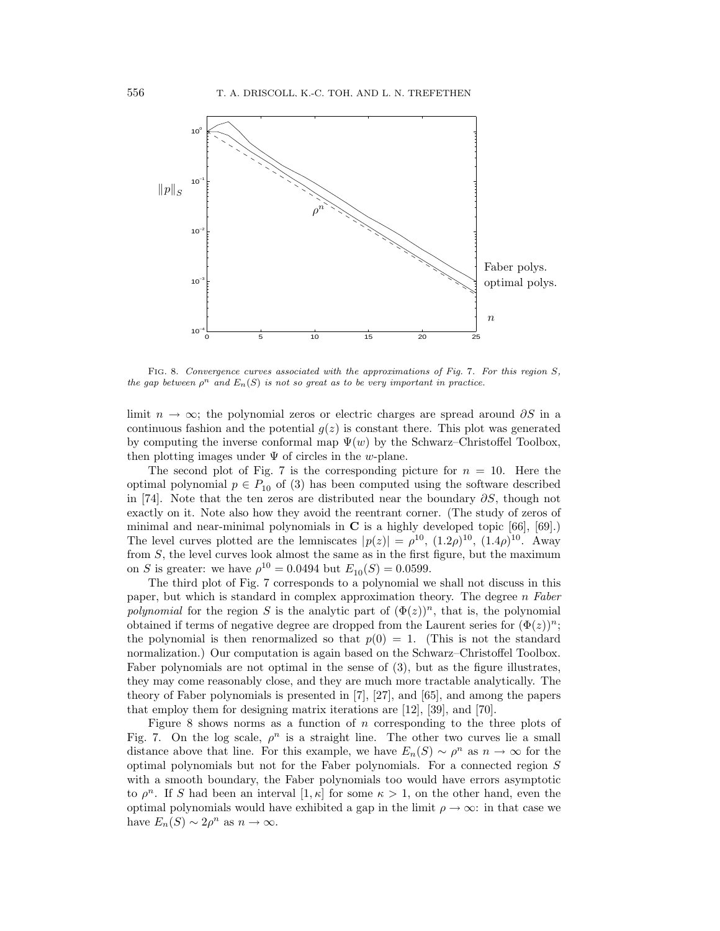

FIG. 8. Convergence curves associated with the approximations of Fig. 7. For this region S, the gap between  $\rho^n$  and  $E_n(S)$  is not so great as to be very important in practice.

limit  $n \to \infty$ ; the polynomial zeros or electric charges are spread around  $\partial S$  in a continuous fashion and the potential  $q(z)$  is constant there. This plot was generated by computing the inverse conformal map  $\Psi(w)$  by the Schwarz–Christoffel Toolbox, then plotting images under  $\Psi$  of circles in the w-plane.

The second plot of Fig. 7 is the corresponding picture for  $n = 10$ . Here the optimal polynomial  $p \in P_{10}$  of (3) has been computed using the software described in [74]. Note that the ten zeros are distributed near the boundary  $\partial S$ , though not exactly on it. Note also how they avoid the reentrant corner. (The study of zeros of minimal and near-minimal polynomials in **C** is a highly developed topic [66], [69].) The level curves plotted are the lemniscates  $|p(z)| = \rho^{10}$ ,  $(1.2\rho)^{10}$ ,  $(1.4\rho)^{10}$ . Away from  $S$ , the level curves look almost the same as in the first figure, but the maximum on S is greater: we have  $\rho^{10} = 0.0494$  but  $E_{10}(S) = 0.0599$ .

The third plot of Fig. 7 corresponds to a polynomial we shall not discuss in this paper, but which is standard in complex approximation theory. The degree  $n$  Faber polynomial for the region S is the analytic part of  $(\Phi(z))^n$ , that is, the polynomial obtained if terms of negative degree are dropped from the Laurent series for  $(\Phi(z))^n$ ; the polynomial is then renormalized so that  $p(0) = 1$ . (This is not the standard normalization.) Our computation is again based on the Schwarz–Christoffel Toolbox. Faber polynomials are not optimal in the sense of (3), but as the figure illustrates, they may come reasonably close, and they are much more tractable analytically. The theory of Faber polynomials is presented in [7], [27], and [65], and among the papers that employ them for designing matrix iterations are [12], [39], and [70].

Figure 8 shows norms as a function of  $n$  corresponding to the three plots of Fig. 7. On the log scale,  $\rho^n$  is a straight line. The other two curves lie a small distance above that line. For this example, we have  $E_n(S) \sim \rho^n$  as  $n \to \infty$  for the optimal polynomials but not for the Faber polynomials. For a connected region S with a smooth boundary, the Faber polynomials too would have errors asymptotic to  $\rho^n$ . If S had been an interval  $[1,\kappa]$  for some  $\kappa > 1$ , on the other hand, even the optimal polynomials would have exhibited a gap in the limit  $\rho \to \infty$ : in that case we have  $E_n(S) \sim 2\rho^n$  as  $n \to \infty$ .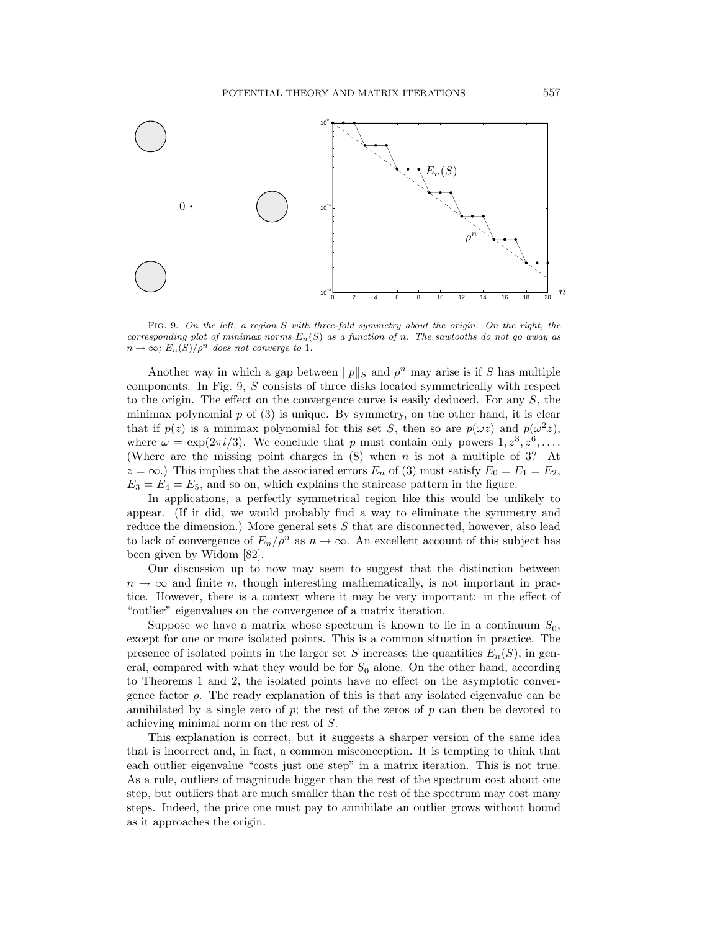

FIG. 9. On the left, a region S with three-fold symmetry about the origin. On the right, the corresponding plot of minimax norms  $E_n(S)$  as a function of n. The sawtooths do not go away as  $n \to \infty$ ;  $E_n(S)/\rho^n$  does not converge to 1.

Another way in which a gap between  $\|p\|_S$  and  $\rho^n$  may arise is if S has multiple components. In Fig. 9, S consists of three disks located symmetrically with respect to the origin. The effect on the convergence curve is easily deduced. For any S, the minimax polynomial  $p$  of  $(3)$  is unique. By symmetry, on the other hand, it is clear that if  $p(z)$  is a minimax polynomial for this set S, then so are  $p(\omega z)$  and  $p(\omega^2 z)$ , where  $\omega = \exp(2\pi i/3)$ . We conclude that p must contain only powers  $1, z^3, z^6, \ldots$ . (Where are the missing point charges in  $(8)$  when n is not a multiple of 3? At  $z = \infty$ .) This implies that the associated errors  $E_n$  of (3) must satisfy  $E_0 = E_1 = E_2$ ,  $E_3 = E_4 = E_5$ , and so on, which explains the staircase pattern in the figure.

In applications, a perfectly symmetrical region like this would be unlikely to appear. (If it did, we would probably find a way to eliminate the symmetry and reduce the dimension.) More general sets S that are disconnected, however, also lead to lack of convergence of  $E_n/\rho^n$  as  $n \to \infty$ . An excellent account of this subject has been given by Widom [82].

Our discussion up to now may seem to suggest that the distinction between  $n \to \infty$  and finite n, though interesting mathematically, is not important in practice. However, there is a context where it may be very important: in the effect of "outlier" eigenvalues on the convergence of a matrix iteration.

Suppose we have a matrix whose spectrum is known to lie in a continuum  $S_0$ , except for one or more isolated points. This is a common situation in practice. The presence of isolated points in the larger set S increases the quantities  $E_n(S)$ , in general, compared with what they would be for  $S_0$  alone. On the other hand, according to Theorems 1 and 2, the isolated points have no effect on the asymptotic convergence factor  $\rho$ . The ready explanation of this is that any isolated eigenvalue can be annihilated by a single zero of  $p$ ; the rest of the zeros of  $p$  can then be devoted to achieving minimal norm on the rest of S.

This explanation is correct, but it suggests a sharper version of the same idea that is incorrect and, in fact, a common misconception. It is tempting to think that each outlier eigenvalue "costs just one step" in a matrix iteration. This is not true. As a rule, outliers of magnitude bigger than the rest of the spectrum cost about one step, but outliers that are much smaller than the rest of the spectrum may cost many steps. Indeed, the price one must pay to annihilate an outlier grows without bound as it approaches the origin.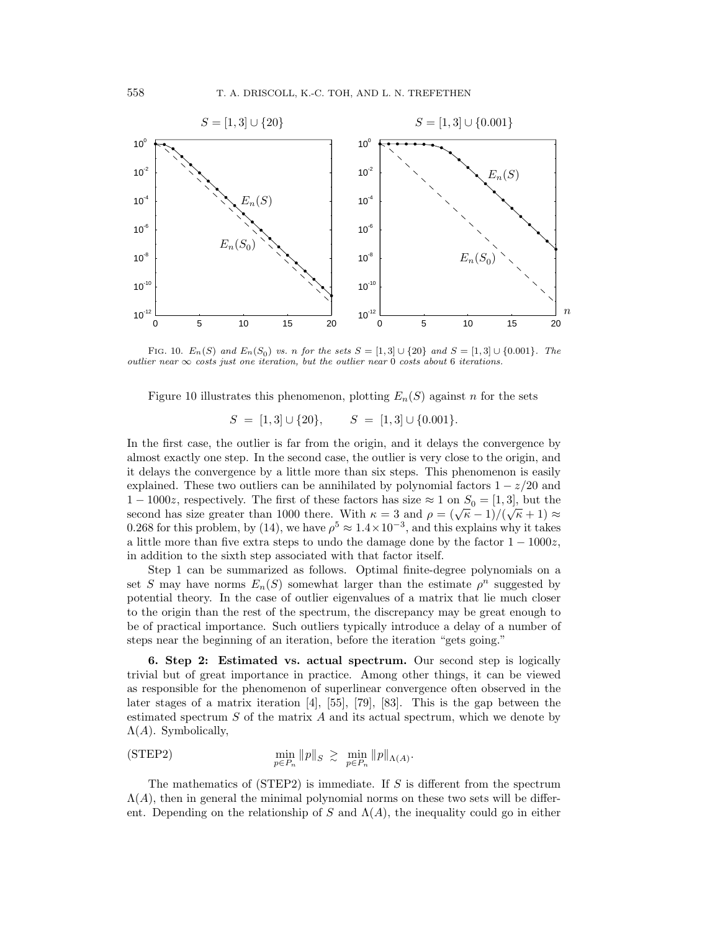

FIG. 10.  $E_n(S)$  and  $E_n(S_0)$  vs. n for the sets  $S = [1,3] \cup \{20\}$  and  $S = [1,3] \cup \{0.001\}$ . The outlier near  $\infty$  costs just one iteration, but the outlier near 0 costs about 6 iterations.

Figure 10 illustrates this phenomenon, plotting  $E_n(S)$  against n for the sets

$$
S = [1,3] \cup \{20\}, \qquad S = [1,3] \cup \{0.001\}.
$$

In the first case, the outlier is far from the origin, and it delays the convergence by almost exactly one step. In the second case, the outlier is very close to the origin, and it delays the convergence by a little more than six steps. This phenomenon is easily explained. These two outliers can be annihilated by polynomial factors  $1 - z/20$  and  $1 - 1000z$ , respectively. The first of these factors has size  $\approx 1$  on  $S_0 = [1, 3]$ , but the second has size greater than 1000 there. With  $\kappa = 3$  and  $\rho = (\sqrt{\kappa} - 1)/(\sqrt{\kappa} + 1) \approx$ 0.268 for this problem, by (14), we have  $\rho^5 \approx 1.4 \times 10^{-3}$ , and this explains why it takes a little more than five extra steps to undo the damage done by the factor  $1 - 1000z$ , in addition to the sixth step associated with that factor itself.

Step 1 can be summarized as follows. Optimal finite-degree polynomials on a set S may have norms  $E_n(S)$  somewhat larger than the estimate  $\rho^n$  suggested by potential theory. In the case of outlier eigenvalues of a matrix that lie much closer to the origin than the rest of the spectrum, the discrepancy may be great enough to be of practical importance. Such outliers typically introduce a delay of a number of steps near the beginning of an iteration, before the iteration "gets going."

**6. Step 2: Estimated vs. actual spectrum.** Our second step is logically trivial but of great importance in practice. Among other things, it can be viewed as responsible for the phenomenon of superlinear convergence often observed in the later stages of a matrix iteration [4], [55], [79], [83]. This is the gap between the estimated spectrum  $S$  of the matrix  $A$  and its actual spectrum, which we denote by  $\Lambda(A)$ . Symbolically,

$$
\text{(STEP2)} \qquad \qquad \min_{p \in P_n} \|p\|_S \ \gtrsim \ \min_{p \in P_n} \|p\|_{\Lambda(A)}.
$$

The mathematics of  $(STEP2)$  is immediate. If S is different from the spectrum  $\Lambda(A)$ , then in general the minimal polynomial norms on these two sets will be different. Depending on the relationship of S and  $\Lambda(A)$ , the inequality could go in either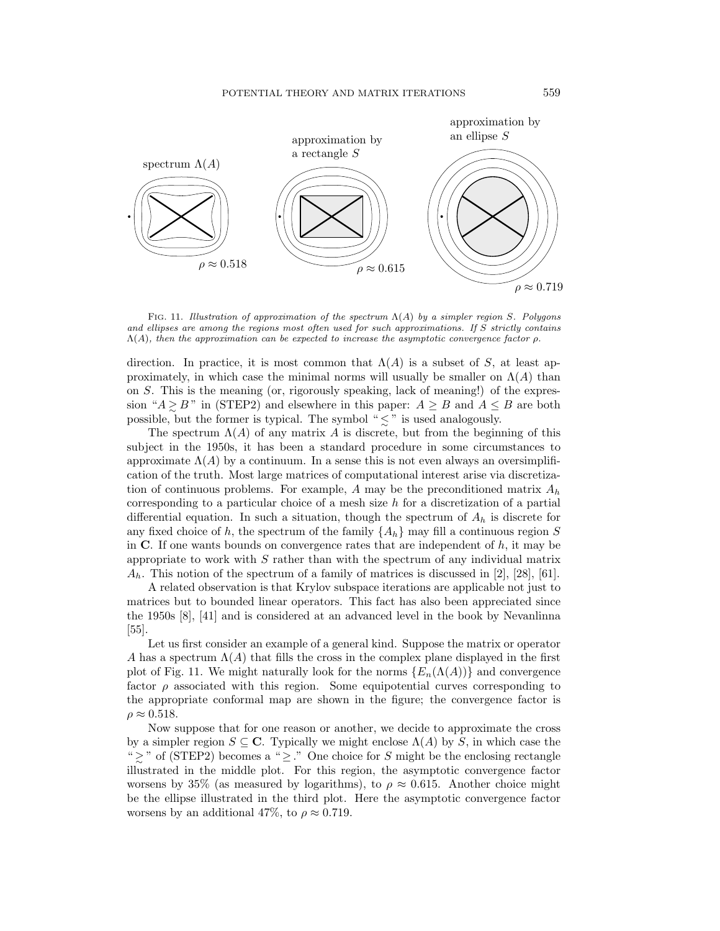

FIG. 11. Illustration of approximation of the spectrum  $\Lambda(A)$  by a simpler region S. Polygons and ellipses are among the regions most often used for such approximations. If S strictly contains  $\Lambda(A)$ , then the approximation can be expected to increase the asymptotic convergence factor  $\rho$ .

direction. In practice, it is most common that  $\Lambda(A)$  is a subset of S, at least approximately, in which case the minimal norms will usually be smaller on  $\Lambda(A)$  than on S. This is the meaning (or, rigorously speaking, lack of meaning!) of the expression " $A \ge B$ " in (STEP2) and elsewhere in this paper:  $A \ge B$  and  $A \le B$  are both possible, but the former is typical. The symbol " $\leq$ " is used analogously.

The spectrum  $\Lambda(A)$  of any matrix A is discrete, but from the beginning of this subject in the 1950s, it has been a standard procedure in some circumstances to approximate  $\Lambda(A)$  by a continuum. In a sense this is not even always an oversimplification of the truth. Most large matrices of computational interest arise via discretization of continuous problems. For example, A may be the preconditioned matrix  $A_h$ corresponding to a particular choice of a mesh size h for a discretization of a partial differential equation. In such a situation, though the spectrum of  $A_h$  is discrete for any fixed choice of h, the spectrum of the family  $\{A_h\}$  may fill a continuous region S in  $\bf{C}$ . If one wants bounds on convergence rates that are independent of  $h$ , it may be appropriate to work with  $S$  rather than with the spectrum of any individual matrix  $A_h$ . This notion of the spectrum of a family of matrices is discussed in [2], [28], [61].

A related observation is that Krylov subspace iterations are applicable not just to matrices but to bounded linear operators. This fact has also been appreciated since the 1950s [8], [41] and is considered at an advanced level in the book by Nevanlinna [55].

Let us first consider an example of a general kind. Suppose the matrix or operator A has a spectrum  $\Lambda(A)$  that fills the cross in the complex plane displayed in the first plot of Fig. 11. We might naturally look for the norms  $\{E_n(\Lambda(A))\}$  and convergence factor  $\rho$  associated with this region. Some equipotential curves corresponding to the appropriate conformal map are shown in the figure; the convergence factor is  $\rho \approx 0.518$ .

Now suppose that for one reason or another, we decide to approximate the cross by a simpler region  $S \subseteq \mathbb{C}$ . Typically we might enclose  $\Lambda(A)$  by S, in which case the " > <sup>∼</sup> " of (STEP2) becomes a " <sup>≥</sup> ." One choice for <sup>S</sup> might be the enclosing rectangle illustrated in the middle plot. For this region, the asymptotic convergence factor worsens by 35% (as measured by logarithms), to  $\rho \approx 0.615$ . Another choice might be the ellipse illustrated in the third plot. Here the asymptotic convergence factor worsens by an additional 47%, to  $\rho \approx 0.719$ .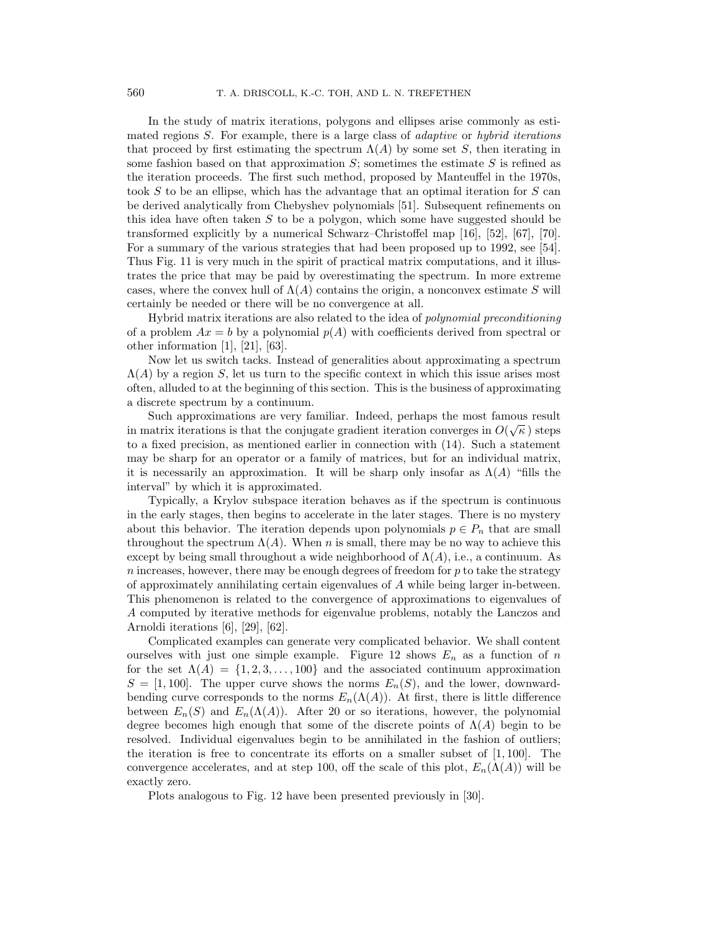In the study of matrix iterations, polygons and ellipses arise commonly as estimated regions  $S$ . For example, there is a large class of *adaptive* or *hybrid iterations* that proceed by first estimating the spectrum  $\Lambda(A)$  by some set S, then iterating in some fashion based on that approximation  $S$ ; sometimes the estimate  $S$  is refined as the iteration proceeds. The first such method, proposed by Manteuffel in the 1970s, took S to be an ellipse, which has the advantage that an optimal iteration for S can be derived analytically from Chebyshev polynomials [51]. Subsequent refinements on this idea have often taken  $S$  to be a polygon, which some have suggested should be transformed explicitly by a numerical Schwarz–Christoffel map [16], [52], [67], [70]. For a summary of the various strategies that had been proposed up to 1992, see [54]. Thus Fig. 11 is very much in the spirit of practical matrix computations, and it illustrates the price that may be paid by overestimating the spectrum. In more extreme cases, where the convex hull of  $\Lambda(A)$  contains the origin, a nonconvex estimate S will certainly be needed or there will be no convergence at all.

Hybrid matrix iterations are also related to the idea of polynomial preconditioning of a problem  $Ax = b$  by a polynomial  $p(A)$  with coefficients derived from spectral or other information [1], [21], [63].

Now let us switch tacks. Instead of generalities about approximating a spectrum  $\Lambda(A)$  by a region S, let us turn to the specific context in which this issue arises most often, alluded to at the beginning of this section. This is the business of approximating a discrete spectrum by a continuum.

Such approximations are very familiar. Indeed, perhaps the most famous result in matrix iterations is that the conjugate gradient iteration converges in  $O(\sqrt{\kappa})$  steps to a fixed precision, as mentioned earlier in connection with (14). Such a statement may be sharp for an operator or a family of matrices, but for an individual matrix, it is necessarily an approximation. It will be sharp only insofar as  $\Lambda(A)$  "fills the interval" by which it is approximated.

Typically, a Krylov subspace iteration behaves as if the spectrum is continuous in the early stages, then begins to accelerate in the later stages. There is no mystery about this behavior. The iteration depends upon polynomials  $p \in P_n$  that are small throughout the spectrum  $\Lambda(A)$ . When n is small, there may be no way to achieve this except by being small throughout a wide neighborhood of  $\Lambda(A)$ , i.e., a continuum. As  $n$  increases, however, there may be enough degrees of freedom for  $p$  to take the strategy of approximately annihilating certain eigenvalues of A while being larger in-between. This phenomenon is related to the convergence of approximations to eigenvalues of A computed by iterative methods for eigenvalue problems, notably the Lanczos and Arnoldi iterations [6], [29], [62].

Complicated examples can generate very complicated behavior. We shall content ourselves with just one simple example. Figure 12 shows  $E_n$  as a function of n for the set  $\Lambda(A) = \{1, 2, 3, \ldots, 100\}$  and the associated continuum approximation  $S = [1, 100]$ . The upper curve shows the norms  $E_n(S)$ , and the lower, downwardbending curve corresponds to the norms  $E_n(\Lambda(A))$ . At first, there is little difference between  $E_n(S)$  and  $E_n(\Lambda(A))$ . After 20 or so iterations, however, the polynomial degree becomes high enough that some of the discrete points of  $\Lambda(A)$  begin to be resolved. Individual eigenvalues begin to be annihilated in the fashion of outliers; the iteration is free to concentrate its efforts on a smaller subset of  $[1, 100]$ . The convergence accelerates, and at step 100, off the scale of this plot,  $E_n(\Lambda(A))$  will be exactly zero.

Plots analogous to Fig. 12 have been presented previously in [30].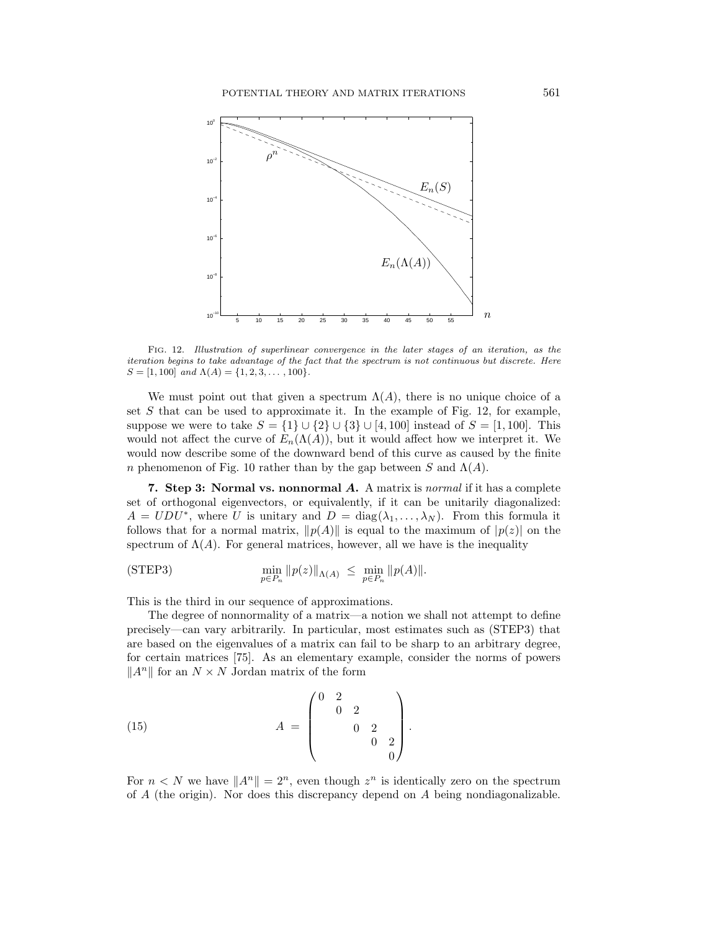

FIG. 12. Illustration of superlinear convergence in the later stages of an iteration, as the iteration begins to take advantage of the fact that the spectrum is not continuous but discrete. Here  $S = [1, 100]$  and  $\Lambda(A) = \{1, 2, 3, \ldots, 100\}.$ 

We must point out that given a spectrum  $\Lambda(A)$ , there is no unique choice of a set  $S$  that can be used to approximate it. In the example of Fig. 12, for example, suppose we were to take  $S = \{1\} \cup \{2\} \cup \{3\} \cup [4, 100]$  instead of  $S = [1, 100]$ . This would not affect the curve of  $E_n(\Lambda(A))$ , but it would affect how we interpret it. We would now describe some of the downward bend of this curve as caused by the finite n phenomenon of Fig. 10 rather than by the gap between S and  $\Lambda(A)$ .

**7. Step 3: Normal vs. nonnormal** *A***.** A matrix is normal if it has a complete set of orthogonal eigenvectors, or equivalently, if it can be unitarily diagonalized:  $A = UDU^*$ , where U is unitary and  $D = diag(\lambda_1, ..., \lambda_N)$ . From this formula it follows that for a normal matrix,  $||p(A)||$  is equal to the maximum of  $|p(z)|$  on the spectrum of  $\Lambda(A)$ . For general matrices, however, all we have is the inequality

$$
\text{(STEP3)} \qquad \qquad \min_{p \in P_n} \|p(z)\|_{\Lambda(A)} \ \leq \ \min_{p \in P_n} \|p(A)\|.
$$

This is the third in our sequence of approximations.

The degree of nonnormality of a matrix—a notion we shall not attempt to define precisely—can vary arbitrarily. In particular, most estimates such as (STEP3) that are based on the eigenvalues of a matrix can fail to be sharp to an arbitrary degree, for certain matrices [75]. As an elementary example, consider the norms of powers  $||A^n||$  for an  $N \times N$  Jordan matrix of the form

(15) 
$$
A = \begin{pmatrix} 0 & 2 & & \\ & 0 & 2 & \\ & & 0 & 2 \\ & & & 0 \end{pmatrix}.
$$

For  $n < N$  we have  $||A^n|| = 2^n$ , even though  $z^n$  is identically zero on the spectrum of A (the origin). Nor does this discrepancy depend on A being nondiagonalizable.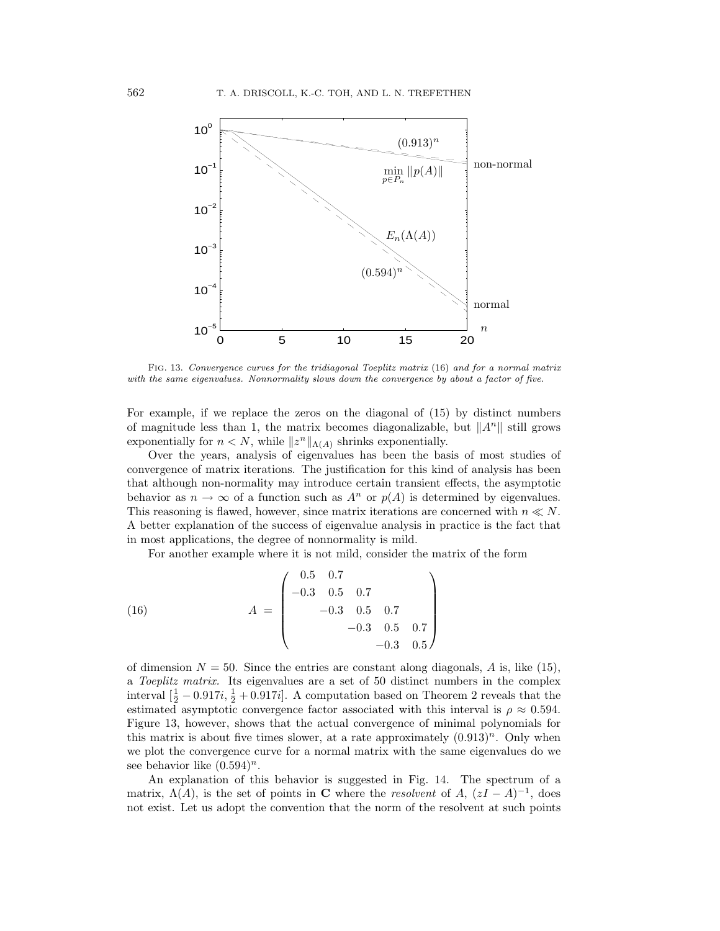

FIG. 13. Convergence curves for the tridiagonal Toeplitz matrix (16) and for a normal matrix with the same eigenvalues. Nonnormality slows down the convergence by about a factor of five.

For example, if we replace the zeros on the diagonal of (15) by distinct numbers of magnitude less than 1, the matrix becomes diagonalizable, but  $||A^n||$  still grows exponentially for  $n < N$ , while  $||z^n||_{\Lambda(A)}$  shrinks exponentially.

Over the years, analysis of eigenvalues has been the basis of most studies of convergence of matrix iterations. The justification for this kind of analysis has been that although non-normality may introduce certain transient effects, the asymptotic behavior as  $n \to \infty$  of a function such as  $A^n$  or  $p(A)$  is determined by eigenvalues. This reasoning is flawed, however, since matrix iterations are concerned with  $n \ll N$ . A better explanation of the success of eigenvalue analysis in practice is the fact that in most applications, the degree of nonnormality is mild.

For another example where it is not mild, consider the matrix of the form

(16) 
$$
A = \begin{pmatrix} 0.5 & 0.7 \\ -0.3 & 0.5 & 0.7 \\ -0.3 & 0.5 & 0.7 \\ -0.3 & 0.5 & 0.7 \\ -0.3 & 0.5 & 0.7 \end{pmatrix}
$$

of dimension  $N = 50$ . Since the entries are constant along diagonals, A is, like (15), a Toeplitz matrix. Its eigenvalues are a set of 50 distinct numbers in the complex interval  $\left[\frac{1}{2} - 0.917i, \frac{1}{2} + 0.917i\right]$ . A computation based on Theorem 2 reveals that the estimated asymptotic convergence factor associated with this interval is  $\rho \approx 0.594$ . Figure 13, however, shows that the actual convergence of minimal polynomials for this matrix is about five times slower, at a rate approximately  $(0.913)^n$ . Only when we plot the convergence curve for a normal matrix with the same eigenvalues do we see behavior like  $(0.594)^n$ .

An explanation of this behavior is suggested in Fig. 14. The spectrum of a matrix,  $\Lambda(A)$ , is the set of points in **C** where the *resolvent* of A,  $(zI - A)^{-1}$ , does not exist. Let us adopt the convention that the norm of the resolvent at such points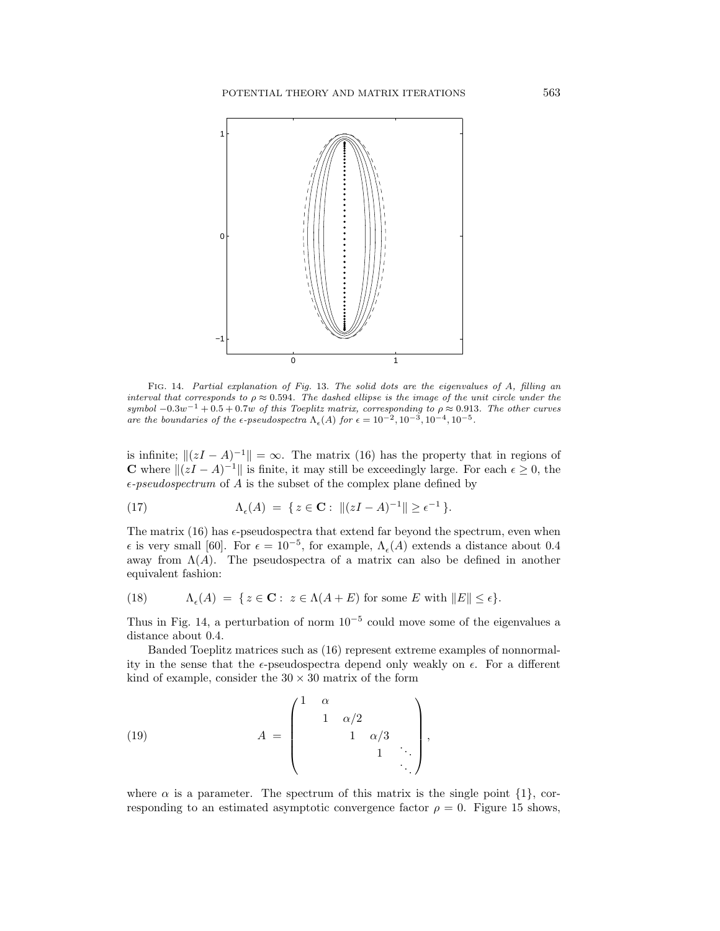

FIG. 14. Partial explanation of Fig. 13. The solid dots are the eigenvalues of A, filling an interval that corresponds to  $\rho \approx 0.594$ . The dashed ellipse is the image of the unit circle under the symbol  $-0.3w^{-1} + 0.5 + 0.7w$  of this Toeplitz matrix, corresponding to  $\rho \approx 0.913$ . The other curves are the boundaries of the  $\epsilon$ -pseudospectra  $\Lambda_{\epsilon}(A)$  for  $\epsilon = 10^{-2}, 10^{-3}, 10^{-4}, 10^{-5}$ .

is infinite;  $||(zI - A)^{-1}|| = \infty$ . The matrix (16) has the property that in regions of **C** where  $||(zI - A)^{-1}||$  is finite, it may still be exceedingly large. For each  $\epsilon \ge 0$ , the  $\epsilon$ -pseudospectrum of A is the subset of the complex plane defined by

(17) 
$$
\Lambda_{\epsilon}(A) = \{ z \in \mathbf{C} : ||(zI - A)^{-1}|| \geq \epsilon^{-1} \}.
$$

The matrix (16) has  $\epsilon$ -pseudospectra that extend far beyond the spectrum, even when  $\epsilon$  is very small [60]. For  $\epsilon = 10^{-5}$ , for example,  $\Lambda_{\epsilon}(A)$  extends a distance about 0.4 away from  $\Lambda(A)$ . The pseudospectra of a matrix can also be defined in another equivalent fashion:

(18) 
$$
\Lambda_{\epsilon}(A) = \{ z \in \mathbf{C} : z \in \Lambda(A+E) \text{ for some } E \text{ with } ||E|| \leq \epsilon \}.
$$

Thus in Fig. 14, a perturbation of norm  $10^{-5}$  could move some of the eigenvalues a distance about 0.4.

Banded Toeplitz matrices such as (16) represent extreme examples of nonnormality in the sense that the  $\epsilon$ -pseudospectra depend only weakly on  $\epsilon$ . For a different kind of example, consider the  $30 \times 30$  matrix of the form

(19) 
$$
A = \begin{pmatrix} 1 & \alpha & & & \\ & 1 & \alpha/2 & & \\ & & 1 & \alpha/3 & \\ & & & 1 & \ddots \\ & & & & & \ddots \end{pmatrix},
$$

where  $\alpha$  is a parameter. The spectrum of this matrix is the single point  $\{1\}$ , corresponding to an estimated asymptotic convergence factor  $\rho = 0$ . Figure 15 shows,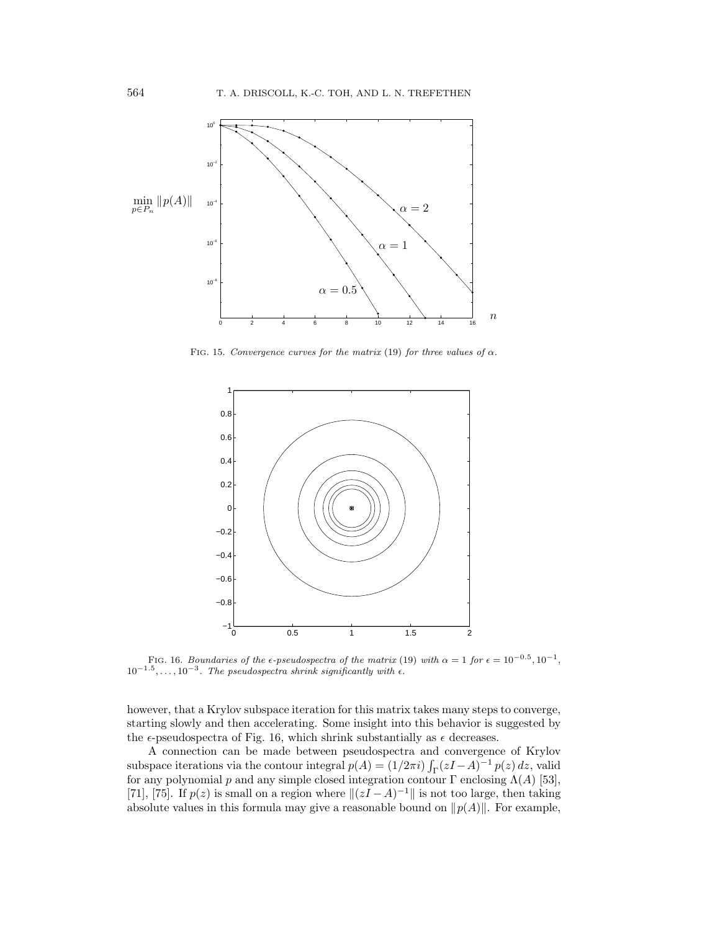

FIG. 15. Convergence curves for the matrix (19) for three values of  $\alpha$ .



FIG. 16. Boundaries of the  $\epsilon$ -pseudospectra of the matrix (19) with  $\alpha = 1$  for  $\epsilon = 10^{-0.5}$ ,  $10^{-1}$ ,  $10^{-1.5},\ldots,10^{-3}$ . The pseudospectra shrink significantly with  $\epsilon$ .

however, that a Krylov subspace iteration for this matrix takes many steps to converge, starting slowly and then accelerating. Some insight into this behavior is suggested by the  $\epsilon$ -pseudospectra of Fig. 16, which shrink substantially as  $\epsilon$  decreases.

A connection can be made between pseudospectra and convergence of Krylov subspace iterations via the contour integral  $p(A) = (1/2\pi i) \int_{\Gamma} (zI - A)^{-1} p(z) dz$ , valid for any polynomial p and any simple closed integration contour  $\Gamma$  enclosing  $\Lambda(A)$  [53], [71], [75]. If  $p(z)$  is small on a region where  $||(zI - A)^{-1}||$  is not too large, then taking absolute values in this formula may give a reasonable bound on  $||p(A)||$ . For example,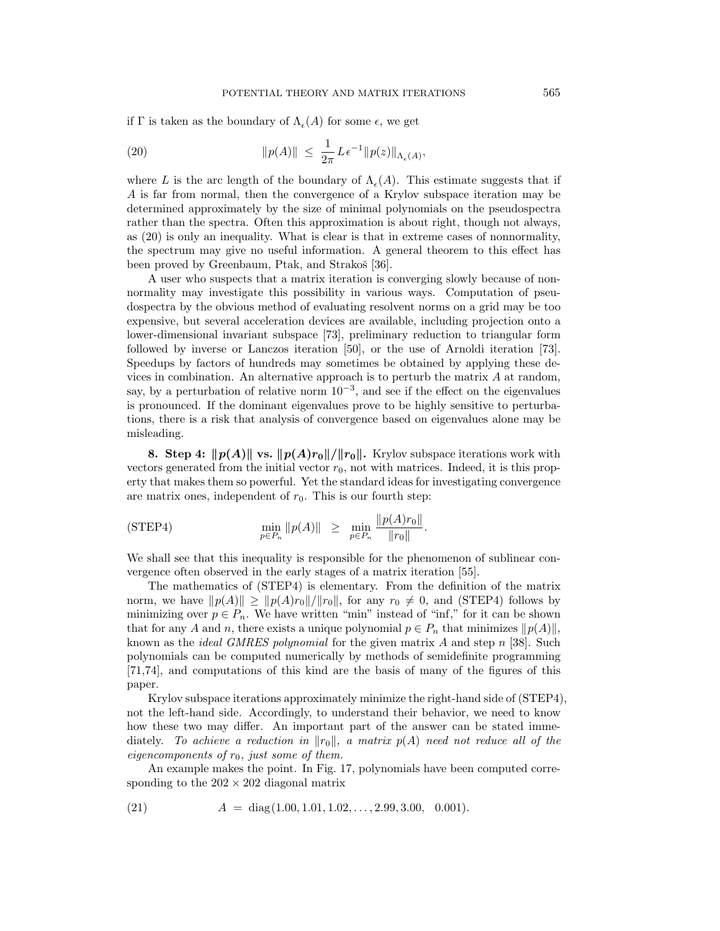if Γ is taken as the boundary of  $\Lambda_{\epsilon}(A)$  for some  $\epsilon$ , we get

(20) 
$$
\|p(A)\| \leq \frac{1}{2\pi} L \epsilon^{-1} \|p(z)\|_{\Lambda_{\epsilon}(A)},
$$

where L is the arc length of the boundary of  $\Lambda_{\epsilon}(A)$ . This estimate suggests that if A is far from normal, then the convergence of a Krylov subspace iteration may be determined approximately by the size of minimal polynomials on the pseudospectra rather than the spectra. Often this approximation is about right, though not always, as (20) is only an inequality. What is clear is that in extreme cases of nonnormality, the spectrum may give no useful information. A general theorem to this effect has been proved by Greenbaum, Ptak, and Strakoš [36].

A user who suspects that a matrix iteration is converging slowly because of nonnormality may investigate this possibility in various ways. Computation of pseudospectra by the obvious method of evaluating resolvent norms on a grid may be too expensive, but several acceleration devices are available, including projection onto a lower-dimensional invariant subspace [73], preliminary reduction to triangular form followed by inverse or Lanczos iteration [50], or the use of Arnoldi iteration [73]. Speedups by factors of hundreds may sometimes be obtained by applying these devices in combination. An alternative approach is to perturb the matrix  $A$  at random, say, by a perturbation of relative norm  $10^{-3}$ , and see if the effect on the eigenvalues is pronounced. If the dominant eigenvalues prove to be highly sensitive to perturbations, there is a risk that analysis of convergence based on eigenvalues alone may be misleading.

**8.** Step 4:  $||p(A)||$  vs.  $||p(A)r_0||/||r_0||$ . Krylov subspace iterations work with vectors generated from the initial vector  $r_0$ , not with matrices. Indeed, it is this property that makes them so powerful. Yet the standard ideas for investigating convergence are matrix ones, independent of  $r_0$ . This is our fourth step:

$$
\text{(STEP4)} \quad \min_{p \in P_n} \|p(A)\| \geq \min_{p \in P_n} \frac{\|p(A)r_0\|}{\|r_0\|}.
$$

We shall see that this inequality is responsible for the phenomenon of sublinear convergence often observed in the early stages of a matrix iteration [55].

The mathematics of (STEP4) is elementary. From the definition of the matrix norm, we have  $||p(A)|| \geq ||p(A)r_0||/||r_0||$ , for any  $r_0 \neq 0$ , and (STEP4) follows by minimizing over  $p \in P_n$ . We have written "min" instead of "inf," for it can be shown that for any A and n, there exists a unique polynomial  $p \in P_n$  that minimizes  $||p(A)||$ , known as the *ideal GMRES polynomial* for the given matrix  $A$  and step  $n$  [38]. Such polynomials can be computed numerically by methods of semidefinite programming [71,74], and computations of this kind are the basis of many of the figures of this paper.

Krylov subspace iterations approximately minimize the right-hand side of (STEP4), not the left-hand side. Accordingly, to understand their behavior, we need to know how these two may differ. An important part of the answer can be stated immediately. To achieve a reduction in  $||r_0||$ , a matrix  $p(A)$  need not reduce all of the eigencomponents of  $r_0$ , just some of them.

An example makes the point. In Fig. 17, polynomials have been computed corresponding to the  $202 \times 202$  diagonal matrix

(21) 
$$
A = diag(1.00, 1.01, 1.02, ..., 2.99, 3.00, 0.001).
$$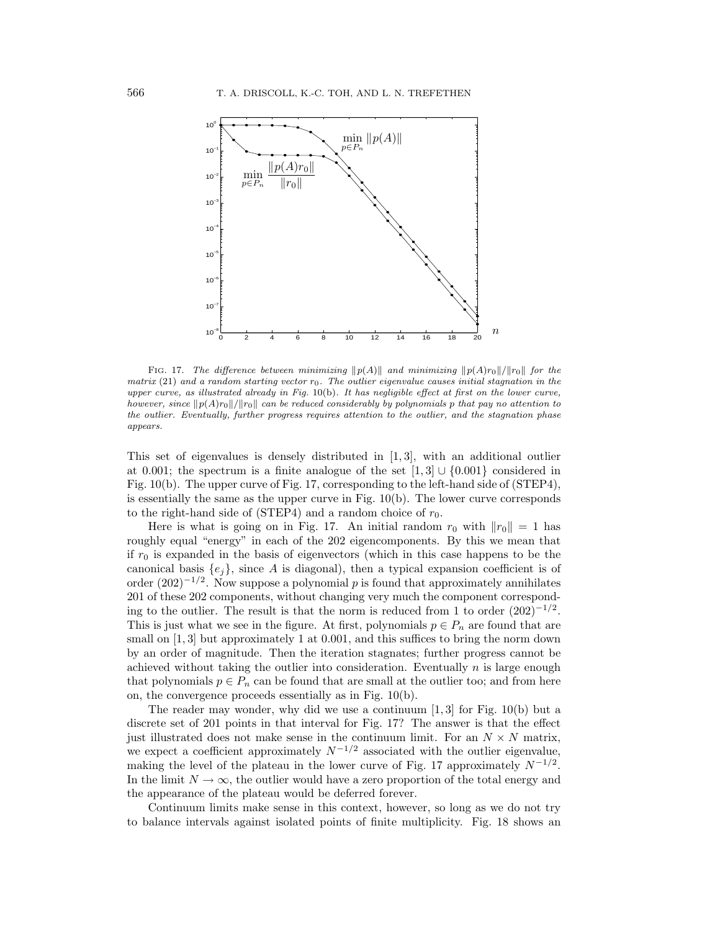

FIG. 17. The difference between minimizing  $\|p(A)\|$  and minimizing  $\|p(A)r_0\|/\|r_0\|$  for the matrix  $(21)$  and a random starting vector  $r_0$ . The outlier eigenvalue causes initial stagnation in the upper curve, as illustrated already in Fig. 10(b). It has negligible effect at first on the lower curve, however, since  $||p(A)r_0||/||r_0||$  can be reduced considerably by polynomials p that pay no attention to the outlier. Eventually, further progress requires attention to the outlier, and the stagnation phase appears.

This set of eigenvalues is densely distributed in  $[1, 3]$ , with an additional outlier at 0.001; the spectrum is a finite analogue of the set  $[1,3] \cup \{0.001\}$  considered in Fig. 10(b). The upper curve of Fig. 17, corresponding to the left-hand side of (STEP4), is essentially the same as the upper curve in Fig.  $10(b)$ . The lower curve corresponds to the right-hand side of (STEP4) and a random choice of  $r_0$ .

Here is what is going on in Fig. 17. An initial random  $r_0$  with  $||r_0|| = 1$  has roughly equal "energy" in each of the 202 eigencomponents. By this we mean that if  $r_0$  is expanded in the basis of eigenvectors (which in this case happens to be the canonical basis  $\{e_i\}$ , since A is diagonal), then a typical expansion coefficient is of order  $(202)^{-1/2}$ . Now suppose a polynomial p is found that approximately annihilates 201 of these 202 components, without changing very much the component corresponding to the outlier. The result is that the norm is reduced from 1 to order  $(202)^{-1/2}$ . This is just what we see in the figure. At first, polynomials  $p \in P_n$  are found that are small on  $[1,3]$  but approximately 1 at 0.001, and this suffices to bring the norm down by an order of magnitude. Then the iteration stagnates; further progress cannot be achieved without taking the outlier into consideration. Eventually  $n$  is large enough that polynomials  $p \in P_n$  can be found that are small at the outlier too; and from here on, the convergence proceeds essentially as in Fig. 10(b).

The reader may wonder, why did we use a continuum  $[1, 3]$  for Fig. 10(b) but a discrete set of 201 points in that interval for Fig. 17? The answer is that the effect just illustrated does not make sense in the continuum limit. For an  $N \times N$  matrix, we expect a coefficient approximately  $N^{-1/2}$  associated with the outlier eigenvalue, making the level of the plateau in the lower curve of Fig. 17 approximately  $N^{-1/2}$ . In the limit  $N \to \infty$ , the outlier would have a zero proportion of the total energy and the appearance of the plateau would be deferred forever.

Continuum limits make sense in this context, however, so long as we do not try to balance intervals against isolated points of finite multiplicity. Fig. 18 shows an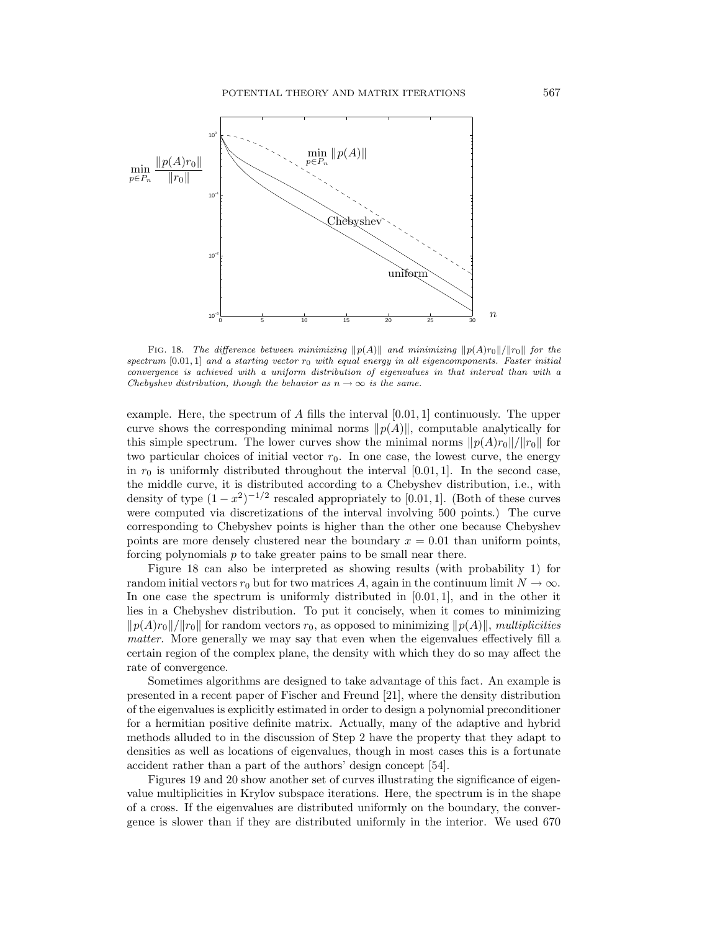

FIG. 18. The difference between minimizing  $||p(A)||$  and minimizing  $||p(A)r_0||/||r_0||$  for the spectrum  $[0.01, 1]$  and a starting vector  $r_0$  with equal energy in all eigencomponents. Faster initial convergence is achieved with a uniform distribution of eigenvalues in that interval than with a Chebyshev distribution, though the behavior as  $n \to \infty$  is the same.

example. Here, the spectrum of A fills the interval  $[0.01, 1]$  continuously. The upper curve shows the corresponding minimal norms  $\|p(A)\|$ , computable analytically for this simple spectrum. The lower curves show the minimal norms  $\|p(A)r_0\|/\|r_0\|$  for two particular choices of initial vector  $r<sub>0</sub>$ . In one case, the lowest curve, the energy in  $r_0$  is uniformly distributed throughout the interval [0.01, 1]. In the second case, the middle curve, it is distributed according to a Chebyshev distribution, i.e., with density of type  $(1-x^2)^{-1/2}$  rescaled appropriately to [0.01, 1]. (Both of these curves were computed via discretizations of the interval involving 500 points.) The curve corresponding to Chebyshev points is higher than the other one because Chebyshev points are more densely clustered near the boundary  $x = 0.01$  than uniform points, forcing polynomials  $p$  to take greater pains to be small near there.

Figure 18 can also be interpreted as showing results (with probability 1) for random initial vectors  $r_0$  but for two matrices A, again in the continuum limit  $N \to \infty$ . In one case the spectrum is uniformly distributed in  $[0.01, 1]$ , and in the other it lies in a Chebyshev distribution. To put it concisely, when it comes to minimizing  $\|p(A)r_0\|/\|r_0\|$  for random vectors  $r_0$ , as opposed to minimizing  $\|p(A)\|$ , multiplicities matter. More generally we may say that even when the eigenvalues effectively fill a certain region of the complex plane, the density with which they do so may affect the rate of convergence.

Sometimes algorithms are designed to take advantage of this fact. An example is presented in a recent paper of Fischer and Freund [21], where the density distribution of the eigenvalues is explicitly estimated in order to design a polynomial preconditioner for a hermitian positive definite matrix. Actually, many of the adaptive and hybrid methods alluded to in the discussion of Step 2 have the property that they adapt to densities as well as locations of eigenvalues, though in most cases this is a fortunate accident rather than a part of the authors' design concept [54].

Figures 19 and 20 show another set of curves illustrating the significance of eigenvalue multiplicities in Krylov subspace iterations. Here, the spectrum is in the shape of a cross. If the eigenvalues are distributed uniformly on the boundary, the convergence is slower than if they are distributed uniformly in the interior. We used 670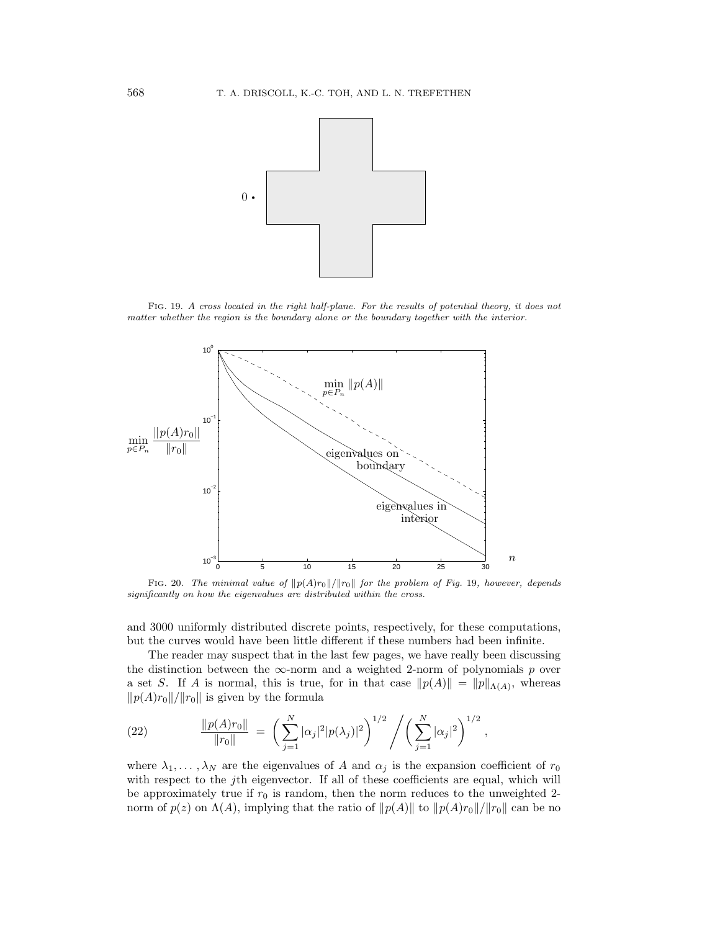

FIG. 19. A cross located in the right half-plane. For the results of potential theory, it does not matter whether the region is the boundary alone or the boundary together with the interior.



FIG. 20. The minimal value of  $||p(A)r_0||/||r_0||$  for the problem of Fig. 19, however, depends significantly on how the eigenvalues are distributed within the cross.

and 3000 uniformly distributed discrete points, respectively, for these computations, but the curves would have been little different if these numbers had been infinite.

The reader may suspect that in the last few pages, we have really been discussing the distinction between the  $\infty$ -norm and a weighted 2-norm of polynomials p over a set S. If A is normal, this is true, for in that case  $||p(A)|| = ||p||_{\Lambda(A)}$ , whereas  $||p(A)r_0||/||r_0||$  is given by the formula

(22) 
$$
\frac{\|p(A)r_0\|}{\|r_0\|} = \left(\sum_{j=1}^N |\alpha_j|^2 |p(\lambda_j)|^2\right)^{1/2} / \left(\sum_{j=1}^N |\alpha_j|^2\right)^{1/2},
$$

where  $\lambda_1, \ldots, \lambda_N$  are the eigenvalues of A and  $\alpha_j$  is the expansion coefficient of  $r_0$ with respect to the j<sup>th</sup> eigenvector. If all of these coefficients are equal, which will be approximately true if  $r_0$  is random, then the norm reduces to the unweighted 2norm of  $p(z)$  on  $\Lambda(A)$ , implying that the ratio of  $||p(A)||$  to  $||p(A)r_0||/||r_0||$  can be no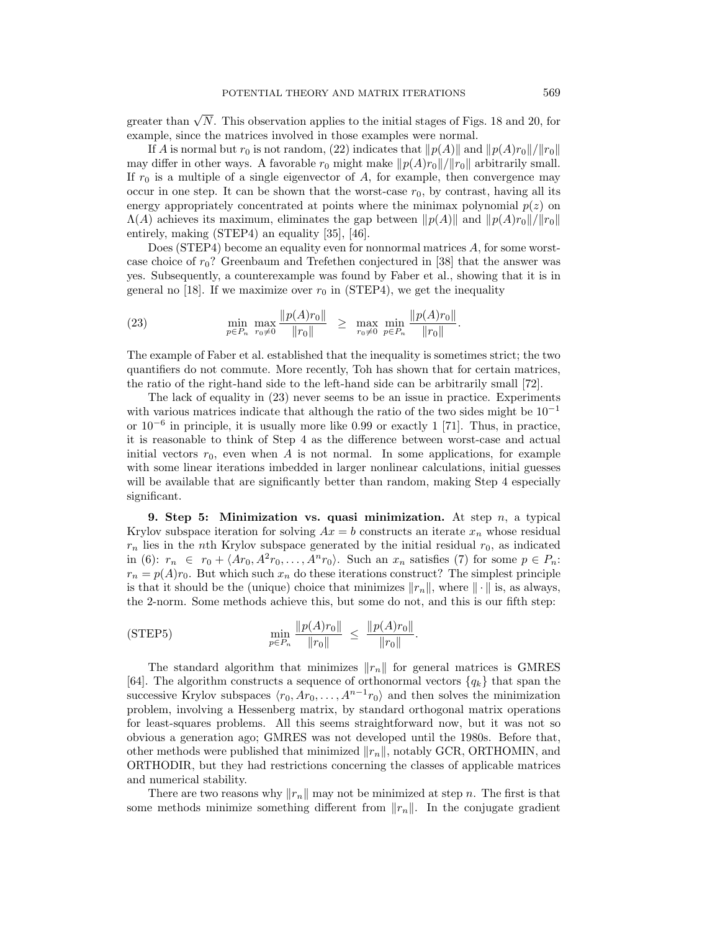greater than  $\sqrt{N}$ . This observation applies to the initial stages of Figs. 18 and 20, for example, since the matrices involved in those examples were normal.

If A is normal but  $r_0$  is not random, (22) indicates that  $\|p(A)\|$  and  $\|p(A)r_0\|/\|r_0\|$ may differ in other ways. A favorable  $r_0$  might make  $||p(A)r_0||/||r_0||$  arbitrarily small. If  $r_0$  is a multiple of a single eigenvector of A, for example, then convergence may occur in one step. It can be shown that the worst-case  $r_0$ , by contrast, having all its energy appropriately concentrated at points where the minimax polynomial  $p(z)$  on  $\Lambda(A)$  achieves its maximum, eliminates the gap between  $\|p(A)\|$  and  $\|p(A)r_0\|/\|r_0\|$ entirely, making (STEP4) an equality [35], [46].

Does (STEP4) become an equality even for nonnormal matrices A, for some worstcase choice of  $r_0$ ? Greenbaum and Trefethen conjectured in [38] that the answer was yes. Subsequently, a counterexample was found by Faber et al., showing that it is in general no [18]. If we maximize over  $r_0$  in (STEP4), we get the inequality

(23) 
$$
\min_{p \in P_n} \max_{r_0 \neq 0} \frac{\|p(A)r_0\|}{\|r_0\|} \geq \max_{r_0 \neq 0} \min_{p \in P_n} \frac{\|p(A)r_0\|}{\|r_0\|}.
$$

The example of Faber et al. established that the inequality is sometimes strict; the two quantifiers do not commute. More recently, Toh has shown that for certain matrices, the ratio of the right-hand side to the left-hand side can be arbitrarily small [72].

The lack of equality in (23) never seems to be an issue in practice. Experiments with various matrices indicate that although the ratio of the two sides might be  $10^{-1}$ or 10−<sup>6</sup> in principle, it is usually more like 0.99 or exactly 1 [71]. Thus, in practice, it is reasonable to think of Step 4 as the difference between worst-case and actual initial vectors  $r_0$ , even when A is not normal. In some applications, for example with some linear iterations imbedded in larger nonlinear calculations, initial guesses will be available that are significantly better than random, making Step 4 especially significant.

**9. Step 5: Minimization vs. quasi minimization.** At step n, a typical Krylov subspace iteration for solving  $Ax = b$  constructs an iterate  $x_n$  whose residual  $r_n$  lies in the nth Krylov subspace generated by the initial residual  $r_0$ , as indicated in (6):  $r_n \in r_0 + \langle Ar_0, A^2r_0,\ldots,A^n r_0 \rangle$ . Such an  $x_n$  satisfies (7) for some  $p \in P_n$ .  $r_n = p(A)r_0$ . But which such  $x_n$  do these iterations construct? The simplest principle is that it should be the (unique) choice that minimizes  $||r_n||$ , where  $|| \cdot ||$  is, as always, the 2-norm. Some methods achieve this, but some do not, and this is our fifth step:

$$
\text{(STEP5)} \qquad \qquad \min_{p \in P_n} \frac{\|p(A)r_0\|}{\|r_0\|} \ \leq \ \frac{\|p(A)r_0\|}{\|r_0\|}.
$$

The standard algorithm that minimizes  $||r_n||$  for general matrices is GMRES [64]. The algorithm constructs a sequence of orthonormal vectors  ${q_k}$  that span the successive Krylov subspaces  $\langle r_0, Ar_0, \ldots, A^{n-1}r_0 \rangle$  and then solves the minimization problem, involving a Hessenberg matrix, by standard orthogonal matrix operations for least-squares problems. All this seems straightforward now, but it was not so obvious a generation ago; GMRES was not developed until the 1980s. Before that, other methods were published that minimized  $||r_n||$ , notably GCR, ORTHOMIN, and ORTHODIR, but they had restrictions concerning the classes of applicable matrices and numerical stability.

There are two reasons why  $||r_n||$  may not be minimized at step n. The first is that some methods minimize something different from  $||r_n||$ . In the conjugate gradient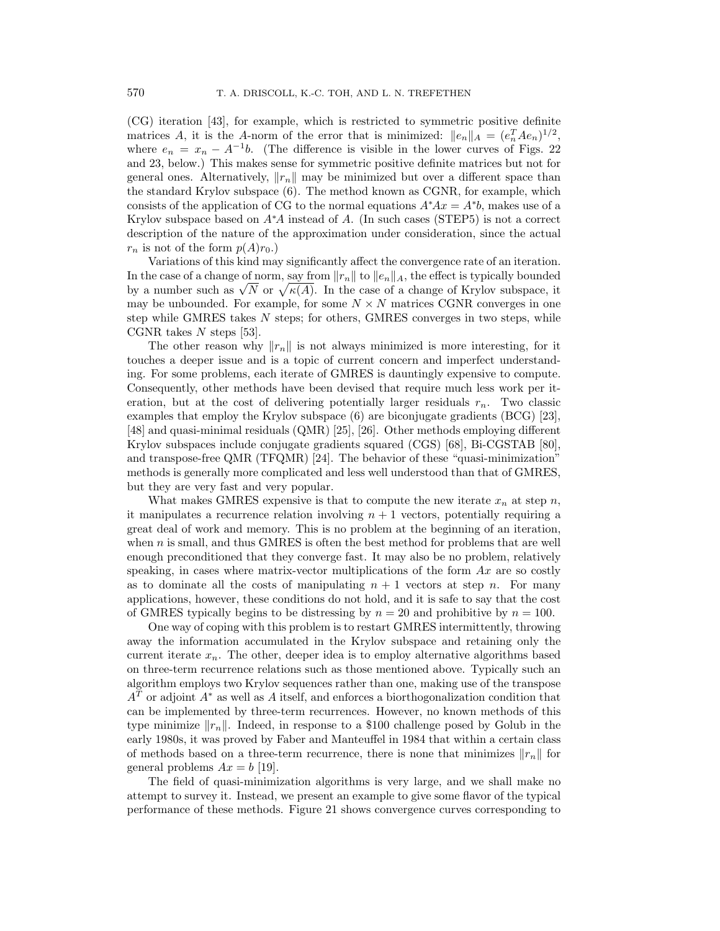(CG) iteration [43], for example, which is restricted to symmetric positive definite matrices A, it is the A-norm of the error that is minimized:  $||e_n||_A = (e_n^T A e_n)^{1/2}$ , where  $e_n = x_n - A^{-1}b$ . (The difference is visible in the lower curves of Figs. 22 and 23, below.) This makes sense for symmetric positive definite matrices but not for general ones. Alternatively,  $||r_n||$  may be minimized but over a different space than the standard Krylov subspace (6). The method known as CGNR, for example, which consists of the application of CG to the normal equations  $A^*Ax = A^*b$ , makes use of a Krylov subspace based on  $A^*A$  instead of A. (In such cases (STEP5) is not a correct description of the nature of the approximation under consideration, since the actual  $r_n$  is not of the form  $p(A)r_0$ .

Variations of this kind may significantly affect the convergence rate of an iteration. In the case of a change of norm, say from  $||r_n||$  to  $||e_n||_A$ , the effect is typically bounded In the case of a change of norm, say from  $||r_n||$  to  $||e_n||_A$ , the effect is typically bounded<br>by a number such as  $\sqrt{N}$  or  $\sqrt{\kappa(A)}$ . In the case of a change of Krylov subspace, it may be unbounded. For example, for some  $N \times N$  matrices CGNR converges in one step while GMRES takes N steps; for others, GMRES converges in two steps, while CGNR takes  $N$  steps [53].

The other reason why  $\|r_n\|$  is not always minimized is more interesting, for it touches a deeper issue and is a topic of current concern and imperfect understanding. For some problems, each iterate of GMRES is dauntingly expensive to compute. Consequently, other methods have been devised that require much less work per iteration, but at the cost of delivering potentially larger residuals  $r_n$ . Two classic examples that employ the Krylov subspace (6) are biconjugate gradients (BCG) [23], [48] and quasi-minimal residuals (QMR) [25], [26]. Other methods employing different Krylov subspaces include conjugate gradients squared (CGS) [68], Bi-CGSTAB [80], and transpose-free QMR (TFQMR) [24]. The behavior of these "quasi-minimization" methods is generally more complicated and less well understood than that of GMRES, but they are very fast and very popular.

What makes GMRES expensive is that to compute the new iterate  $x_n$  at step n, it manipulates a recurrence relation involving  $n + 1$  vectors, potentially requiring a great deal of work and memory. This is no problem at the beginning of an iteration, when *n* is small, and thus GMRES is often the best method for problems that are well enough preconditioned that they converge fast. It may also be no problem, relatively speaking, in cases where matrix-vector multiplications of the form  $Ax$  are so costly as to dominate all the costs of manipulating  $n + 1$  vectors at step n. For many applications, however, these conditions do not hold, and it is safe to say that the cost of GMRES typically begins to be distressing by  $n = 20$  and prohibitive by  $n = 100$ .

One way of coping with this problem is to restart GMRES intermittently, throwing away the information accumulated in the Krylov subspace and retaining only the current iterate  $x_n$ . The other, deeper idea is to employ alternative algorithms based on three-term recurrence relations such as those mentioned above. Typically such an algorithm employs two Krylov sequences rather than one, making use of the transpose  $A<sup>T</sup>$  or adjoint  $A^*$  as well as A itself, and enforces a biorthogonalization condition that can be implemented by three-term recurrences. However, no known methods of this type minimize  $\|r_n\|$ . Indeed, in response to a \$100 challenge posed by Golub in the early 1980s, it was proved by Faber and Manteuffel in 1984 that within a certain class of methods based on a three-term recurrence, there is none that minimizes  $\|r_n\|$  for general problems  $Ax = b$  [19].

The field of quasi-minimization algorithms is very large, and we shall make no attempt to survey it. Instead, we present an example to give some flavor of the typical performance of these methods. Figure 21 shows convergence curves corresponding to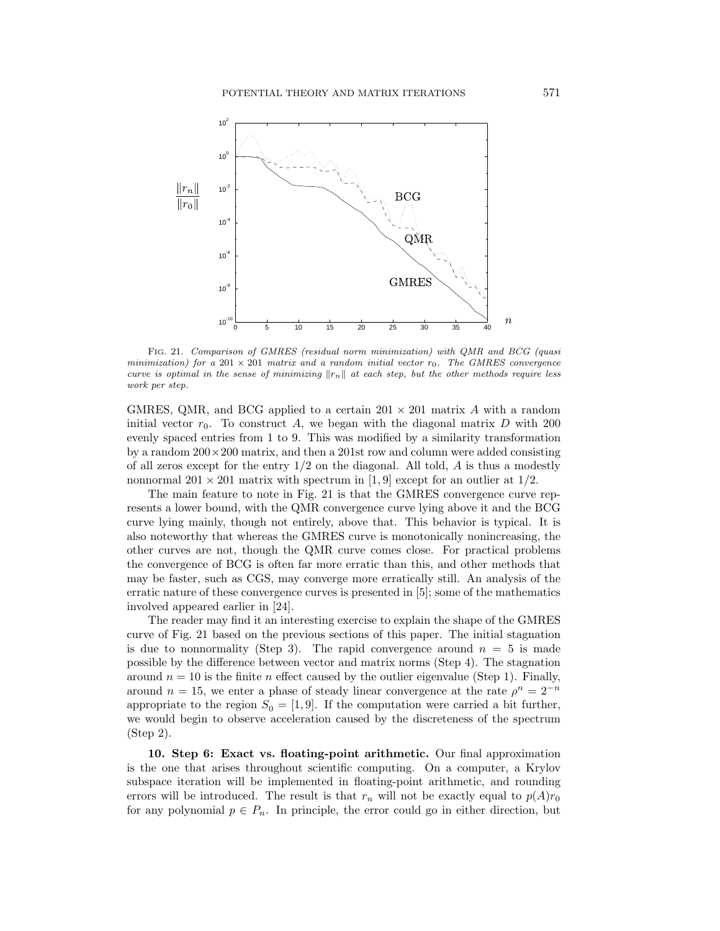

FIG. 21. Comparison of GMRES (residual norm minimization) with QMR and BCG (quasi minimization) for a 201  $\times$  201 matrix and a random initial vector  $r_0$ . The GMRES convergence curve is optimal in the sense of minimizing  $||r_n||$  at each step, but the other methods require less work per step.

GMRES, QMR, and BCG applied to a certain  $201 \times 201$  matrix A with a random initial vector  $r_0$ . To construct A, we began with the diagonal matrix D with 200 evenly spaced entries from 1 to 9. This was modified by a similarity transformation by a random  $200 \times 200$  matrix, and then a 201st row and column were added consisting of all zeros except for the entry  $1/2$  on the diagonal. All told, A is thus a modestly nonnormal  $201 \times 201$  matrix with spectrum in [1, 9] except for an outlier at  $1/2$ .

The main feature to note in Fig. 21 is that the GMRES convergence curve represents a lower bound, with the QMR convergence curve lying above it and the BCG curve lying mainly, though not entirely, above that. This behavior is typical. It is also noteworthy that whereas the GMRES curve is monotonically nonincreasing, the other curves are not, though the QMR curve comes close. For practical problems the convergence of BCG is often far more erratic than this, and other methods that may be faster, such as CGS, may converge more erratically still. An analysis of the erratic nature of these convergence curves is presented in [5]; some of the mathematics involved appeared earlier in [24].

The reader may find it an interesting exercise to explain the shape of the GMRES curve of Fig. 21 based on the previous sections of this paper. The initial stagnation is due to nonnormality (Step 3). The rapid convergence around  $n = 5$  is made possible by the difference between vector and matrix norms (Step 4). The stagnation around  $n = 10$  is the finite n effect caused by the outlier eigenvalue (Step 1). Finally, around  $n = 15$ , we enter a phase of steady linear convergence at the rate  $\rho^n = 2^{-n}$ appropriate to the region  $S_0 = [1, 9]$ . If the computation were carried a bit further, we would begin to observe acceleration caused by the discreteness of the spectrum (Step 2).

**10. Step 6: Exact vs. floating-point arithmetic.** Our final approximation is the one that arises throughout scientific computing. On a computer, a Krylov subspace iteration will be implemented in floating-point arithmetic, and rounding errors will be introduced. The result is that  $r_n$  will not be exactly equal to  $p(A)r_0$ for any polynomial  $p \in P_n$ . In principle, the error could go in either direction, but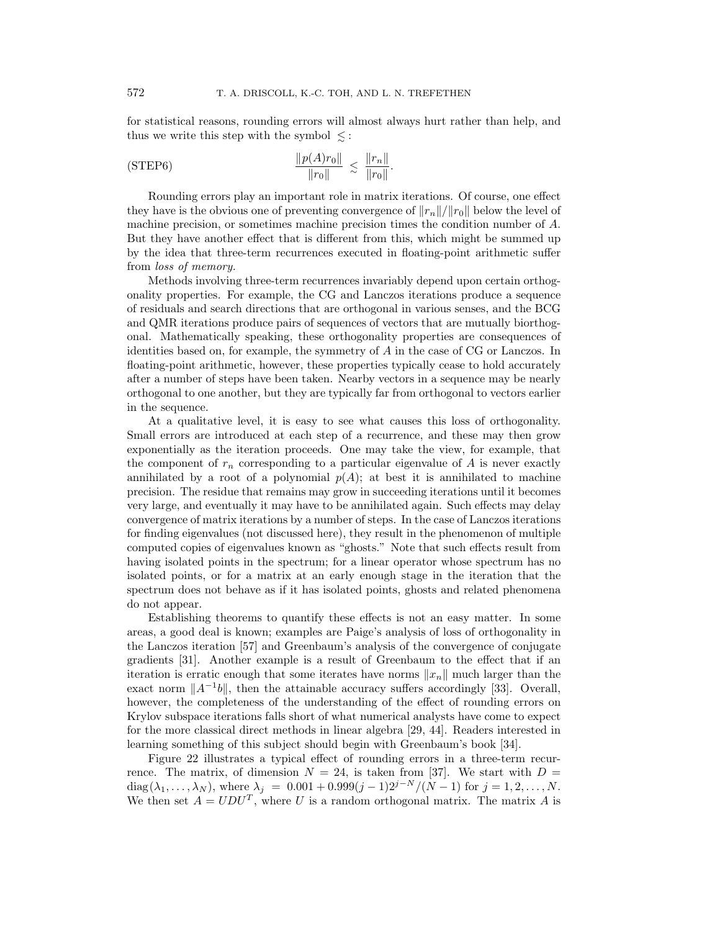for statistical reasons, rounding errors will almost always hurt rather than help, and thus we write this step with the symbol  $\leq$ :

$$
\frac{\|p(A)r_0\|}{\|r_0\|} \le \frac{\|r_n\|}{\|r_0\|}.
$$

Rounding errors play an important role in matrix iterations. Of course, one effect they have is the obvious one of preventing convergence of  $||r_n||/||r_0||$  below the level of machine precision, or sometimes machine precision times the condition number of A. But they have another effect that is different from this, which might be summed up by the idea that three-term recurrences executed in floating-point arithmetic suffer from loss of memory.

Methods involving three-term recurrences invariably depend upon certain orthogonality properties. For example, the CG and Lanczos iterations produce a sequence of residuals and search directions that are orthogonal in various senses, and the BCG and QMR iterations produce pairs of sequences of vectors that are mutually biorthogonal. Mathematically speaking, these orthogonality properties are consequences of identities based on, for example, the symmetry of A in the case of CG or Lanczos. In floating-point arithmetic, however, these properties typically cease to hold accurately after a number of steps have been taken. Nearby vectors in a sequence may be nearly orthogonal to one another, but they are typically far from orthogonal to vectors earlier in the sequence.

At a qualitative level, it is easy to see what causes this loss of orthogonality. Small errors are introduced at each step of a recurrence, and these may then grow exponentially as the iteration proceeds. One may take the view, for example, that the component of  $r_n$  corresponding to a particular eigenvalue of A is never exactly annihilated by a root of a polynomial  $p(A)$ ; at best it is annihilated to machine precision. The residue that remains may grow in succeeding iterations until it becomes very large, and eventually it may have to be annihilated again. Such effects may delay convergence of matrix iterations by a number of steps. In the case of Lanczos iterations for finding eigenvalues (not discussed here), they result in the phenomenon of multiple computed copies of eigenvalues known as "ghosts." Note that such effects result from having isolated points in the spectrum; for a linear operator whose spectrum has no isolated points, or for a matrix at an early enough stage in the iteration that the spectrum does not behave as if it has isolated points, ghosts and related phenomena do not appear.

Establishing theorems to quantify these effects is not an easy matter. In some areas, a good deal is known; examples are Paige's analysis of loss of orthogonality in the Lanczos iteration [57] and Greenbaum's analysis of the convergence of conjugate gradients [31]. Another example is a result of Greenbaum to the effect that if an iteration is erratic enough that some iterates have norms  $||x_n||$  much larger than the exact norm  $||A^{-1}b||$ , then the attainable accuracy suffers accordingly [33]. Overall, however, the completeness of the understanding of the effect of rounding errors on Krylov subspace iterations falls short of what numerical analysts have come to expect for the more classical direct methods in linear algebra [29, 44]. Readers interested in learning something of this subject should begin with Greenbaum's book [34].

Figure 22 illustrates a typical effect of rounding errors in a three-term recurrence. The matrix, of dimension  $N = 24$ , is taken from [37]. We start with  $D =$ diag( $\lambda_1, ..., \lambda_N$ ), where  $\lambda_j = 0.001 + 0.999(j-1)2^{j-N}/(N-1)$  for  $j = 1, 2, ..., N$ . We then set  $A = UDU<sup>T</sup>$ , where U is a random orthogonal matrix. The matrix A is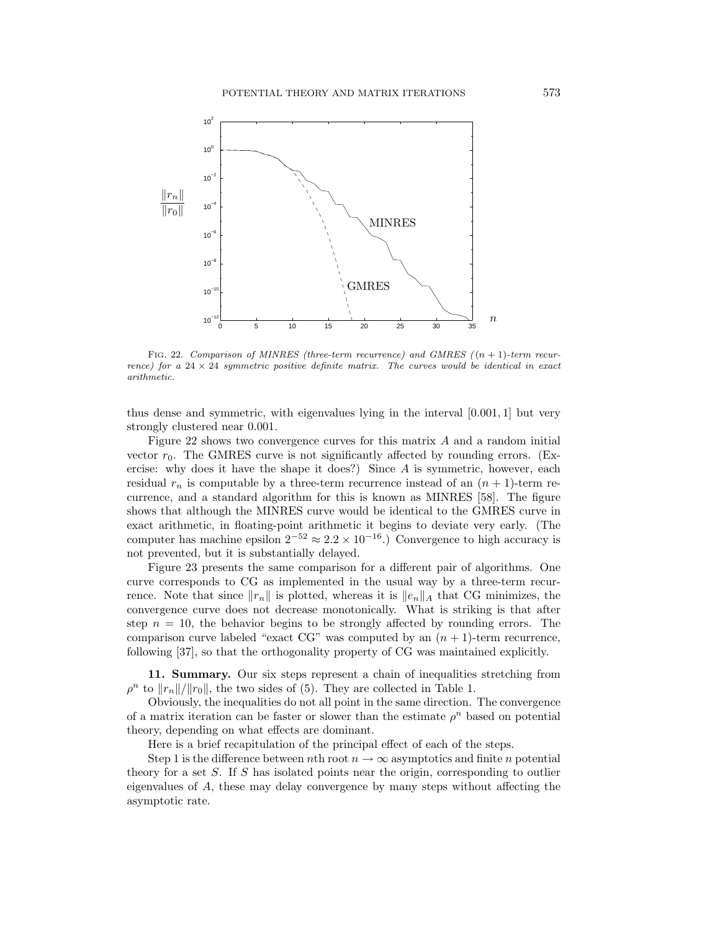

FIG. 22. Comparison of MINRES (three-term recurrence) and GMRES  $((n + 1))$ -term recurrence) for a  $24 \times 24$  symmetric positive definite matrix. The curves would be identical in exact arithmetic.

thus dense and symmetric, with eigenvalues lying in the interval [0.001, 1] but very strongly clustered near 0.001.

Figure 22 shows two convergence curves for this matrix A and a random initial vector  $r_0$ . The GMRES curve is not significantly affected by rounding errors. (Exercise: why does it have the shape it does?) Since  $A$  is symmetric, however, each residual  $r_n$  is computable by a three-term recurrence instead of an  $(n + 1)$ -term recurrence, and a standard algorithm for this is known as MINRES [58]. The figure shows that although the MINRES curve would be identical to the GMRES curve in exact arithmetic, in floating-point arithmetic it begins to deviate very early. (The computer has machine epsilon  $2^{-52} \approx 2.2 \times 10^{-16}$ .) Convergence to high accuracy is not prevented, but it is substantially delayed.

Figure 23 presents the same comparison for a different pair of algorithms. One curve corresponds to CG as implemented in the usual way by a three-term recurrence. Note that since  $||r_n||$  is plotted, whereas it is  $||e_n||_A$  that CG minimizes, the convergence curve does not decrease monotonically. What is striking is that after step  $n = 10$ , the behavior begins to be strongly affected by rounding errors. The comparison curve labeled "exact CG" was computed by an  $(n + 1)$ -term recurrence, following [37], so that the orthogonality property of CG was maintained explicitly.

**11. Summary.** Our six steps represent a chain of inequalities stretching from  $\rho^n$  to  $||r_n||/||r_0||$ , the two sides of (5). They are collected in Table 1.

Obviously, the inequalities do not all point in the same direction. The convergence of a matrix iteration can be faster or slower than the estimate  $\rho^n$  based on potential theory, depending on what effects are dominant.

Here is a brief recapitulation of the principal effect of each of the steps.

Step 1 is the difference between nth root  $n \to \infty$  asymptotics and finite n potential theory for a set S. If S has isolated points near the origin, corresponding to outlier eigenvalues of A, these may delay convergence by many steps without affecting the asymptotic rate.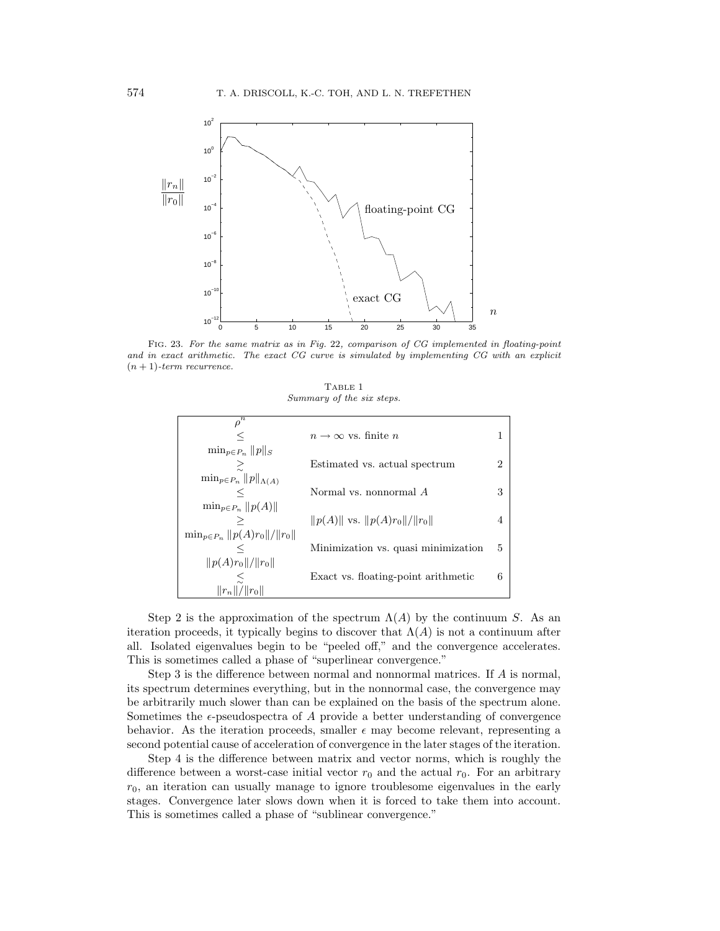

FIG. 23. For the same matrix as in Fig. 22, comparison of CG implemented in floating-point and in exact arithmetic. The exact CG curve is simulated by implementing CG with an explicit  $(n + 1)$ -term recurrence.

|                           | TABLE 1 |  |
|---------------------------|---------|--|
| Summary of the six steps. |         |  |

| $\bar{\rho^n}$                         |                                      |   |
|----------------------------------------|--------------------------------------|---|
|                                        | $n \to \infty$ vs. finite n          |   |
| $\min_{p \in P_n}   p  _S$             |                                      |   |
| ≳                                      | Estimated vs. actual spectrum        | 2 |
| $\min_{p \in P_n}   p  _{\Lambda(A)}$  |                                      |   |
| $\lt$                                  | Normal vs. nonnormal $A$             | 3 |
| $\min_{p \in P_n}   p(A)  $            |                                      |   |
| ➢                                      | $  p(A)  $ vs. $  p(A)r_0  /  r_0  $ | 4 |
| $\min_{p \in P_n}   p(A)r_0  /  r_0  $ |                                      |   |
| $\lt$                                  | Minimization vs. quasi minimization  | 5 |
| $  p(A)r_0  /  r_0  $                  |                                      |   |
| $\leq$                                 | Exact vs. floating-point arithmetic  | 6 |
| $  r_n  /  r_0  $                      |                                      |   |

Step 2 is the approximation of the spectrum  $\Lambda(A)$  by the continuum S. As an iteration proceeds, it typically begins to discover that  $\Lambda(A)$  is not a continuum after all. Isolated eigenvalues begin to be "peeled off," and the convergence accelerates. This is sometimes called a phase of "superlinear convergence."

Step 3 is the difference between normal and nonnormal matrices. If A is normal, its spectrum determines everything, but in the nonnormal case, the convergence may be arbitrarily much slower than can be explained on the basis of the spectrum alone. Sometimes the  $\epsilon$ -pseudospectra of A provide a better understanding of convergence behavior. As the iteration proceeds, smaller  $\epsilon$  may become relevant, representing a second potential cause of acceleration of convergence in the later stages of the iteration.

Step 4 is the difference between matrix and vector norms, which is roughly the difference between a worst-case initial vector  $r_0$  and the actual  $r_0$ . For an arbitrary  $r_0$ , an iteration can usually manage to ignore troublesome eigenvalues in the early stages. Convergence later slows down when it is forced to take them into account. This is sometimes called a phase of "sublinear convergence."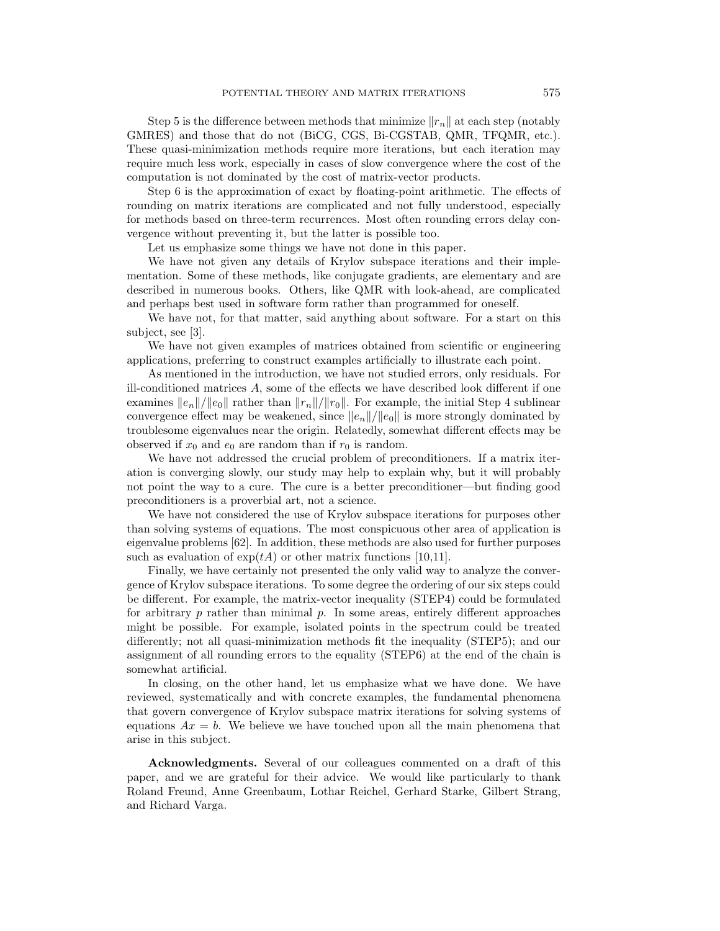Step 5 is the difference between methods that minimize  $||r_n||$  at each step (notably GMRES) and those that do not (BiCG, CGS, Bi-CGSTAB, QMR, TFQMR, etc.). These quasi-minimization methods require more iterations, but each iteration may require much less work, especially in cases of slow convergence where the cost of the computation is not dominated by the cost of matrix-vector products.

Step 6 is the approximation of exact by floating-point arithmetic. The effects of rounding on matrix iterations are complicated and not fully understood, especially for methods based on three-term recurrences. Most often rounding errors delay convergence without preventing it, but the latter is possible too.

Let us emphasize some things we have not done in this paper.

We have not given any details of Krylov subspace iterations and their implementation. Some of these methods, like conjugate gradients, are elementary and are described in numerous books. Others, like QMR with look-ahead, are complicated and perhaps best used in software form rather than programmed for oneself.

We have not, for that matter, said anything about software. For a start on this subject, see [3].

We have not given examples of matrices obtained from scientific or engineering applications, preferring to construct examples artificially to illustrate each point.

As mentioned in the introduction, we have not studied errors, only residuals. For ill-conditioned matrices A, some of the effects we have described look different if one examines  $||e_n||/||e_0||$  rather than  $||r_n||/||r_0||$ . For example, the initial Step 4 sublinear convergence effect may be weakened, since  $||e_n||/||e_0||$  is more strongly dominated by troublesome eigenvalues near the origin. Relatedly, somewhat different effects may be observed if  $x_0$  and  $e_0$  are random than if  $r_0$  is random.

We have not addressed the crucial problem of preconditioners. If a matrix iteration is converging slowly, our study may help to explain why, but it will probably not point the way to a cure. The cure is a better preconditioner—but finding good preconditioners is a proverbial art, not a science.

We have not considered the use of Krylov subspace iterations for purposes other than solving systems of equations. The most conspicuous other area of application is eigenvalue problems [62]. In addition, these methods are also used for further purposes such as evaluation of  $\exp(tA)$  or other matrix functions [10,11].

Finally, we have certainly not presented the only valid way to analyze the convergence of Krylov subspace iterations. To some degree the ordering of our six steps could be different. For example, the matrix-vector inequality (STEP4) could be formulated for arbitrary  $p$  rather than minimal  $p$ . In some areas, entirely different approaches might be possible. For example, isolated points in the spectrum could be treated differently; not all quasi-minimization methods fit the inequality (STEP5); and our assignment of all rounding errors to the equality (STEP6) at the end of the chain is somewhat artificial.

In closing, on the other hand, let us emphasize what we have done. We have reviewed, systematically and with concrete examples, the fundamental phenomena that govern convergence of Krylov subspace matrix iterations for solving systems of equations  $Ax = b$ . We believe we have touched upon all the main phenomena that arise in this subject.

**Acknowledgments.** Several of our colleagues commented on a draft of this paper, and we are grateful for their advice. We would like particularly to thank Roland Freund, Anne Greenbaum, Lothar Reichel, Gerhard Starke, Gilbert Strang, and Richard Varga.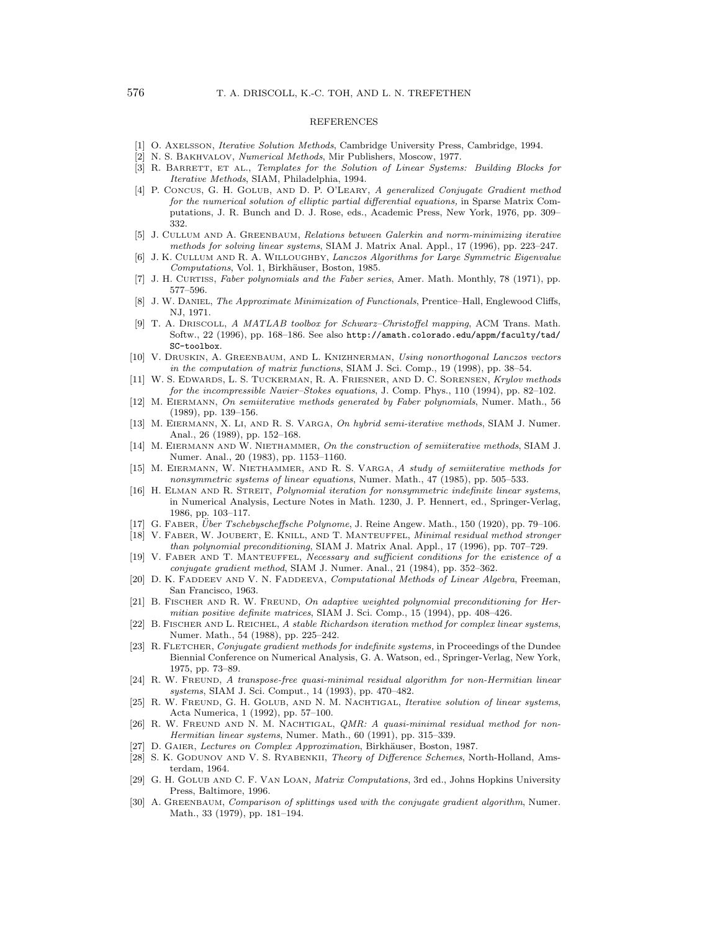## REFERENCES

- [1] O. AXELSSON, Iterative Solution Methods, Cambridge University Press, Cambridge, 1994.
- [2] N. S. BAKHVALOV, Numerical Methods, Mir Publishers, Moscow, 1977.
- [3] R. BARRETT, ET AL., Templates for the Solution of Linear Systems: Building Blocks for Iterative Methods, SIAM, Philadelphia, 1994.
- [4] P. CONCUS, G. H. GOLUB, AND D. P. O'LEARY, A generalized Conjugate Gradient method for the numerical solution of elliptic partial differential equations, in Sparse Matrix Computations, J. R. Bunch and D. J. Rose, eds., Academic Press, New York, 1976, pp. 309– 332.
- [5] J. CULLUM AND A. GREENBAUM, Relations between Galerkin and norm-minimizing iterative methods for solving linear systems, SIAM J. Matrix Anal. Appl., 17 (1996), pp. 223–247.
- [6] J. K. CULLUM AND R. A. WILLOUGHBY, Lanczos Algorithms for Large Symmetric Eigenvalue Computations, Vol. 1, Birkhäuser, Boston, 1985.
- [7] J. H. CURTISS, Faber polynomials and the Faber series, Amer. Math. Monthly, 78 (1971), pp. 577–596.
- [8] J. W. DANIEL, *The Approximate Minimization of Functionals*, Prentice–Hall, Englewood Cliffs, NJ, 1971.
- [9] T. A. DRISCOLL, A MATLAB toolbox for Schwarz–Christoffel mapping, ACM Trans. Math. Softw., 22 (1996), pp. 168–186. See also http://amath.colorado.edu/appm/faculty/tad/ SC-toolbox.
- [10] V. DRUSKIN, A. GREENBAUM, AND L. KNIZHNERMAN, Using nonorthogonal Lanczos vectors in the computation of matrix functions, SIAM J. Sci. Comp., 19 (1998), pp. 38–54.
- [11] W. S. EDWARDS, L. S. TUCKERMAN, R. A. FRIESNER, AND D. C. SORENSEN, Krylov methods for the incompressible Navier–Stokes equations, J. Comp. Phys., 110 (1994), pp. 82–102.
- [12] M. EIERMANN, On semiiterative methods generated by Faber polynomials, Numer. Math., 56 (1989), pp. 139–156.
- [13] M. EIERMANN, X. LI, AND R. S. VARGA, On hybrid semi-iterative methods, SIAM J. Numer. Anal., 26 (1989), pp. 152–168.
- [14] M. EIERMANN AND W. NIETHAMMER, On the construction of semiiterative methods, SIAM J. Numer. Anal., 20 (1983), pp. 1153–1160.
- [15] M. EIERMANN, W. NIETHAMMER, AND R. S. VARGA, A study of semiiterative methods for nonsymmetric systems of linear equations, Numer. Math., 47 (1985), pp. 505–533.
- [16] H. ELMAN AND R. STREIT, Polynomial iteration for nonsymmetric indefinite linear systems, in Numerical Analysis, Lecture Notes in Math. 1230, J. P. Hennert, ed., Springer-Verlag, 1986, pp. 103–117.
- [17] G. FABER, Über Tschebyscheffsche Polynome, J. Reine Angew. Math., 150 (1920), pp. 79–106.
- [18] V. FABER, W. JOUBERT, E. KNILL, AND T. MANTEUFFEL, Minimal residual method stronger than polynomial preconditioning, SIAM J. Matrix Anal. Appl., 17 (1996), pp. 707–729.
- [19] V. FABER AND T. MANTEUFFEL, Necessary and sufficient conditions for the existence of a conjugate gradient method, SIAM J. Numer. Anal., 21 (1984), pp. 352–362.
- [20] D. K. FADDEEV AND V. N. FADDEEVA, Computational Methods of Linear Algebra, Freeman, San Francisco, 1963.
- [21] B. FISCHER AND R. W. FREUND, On adaptive weighted polynomial preconditioning for Hermitian positive definite matrices, SIAM J. Sci. Comp., 15 (1994), pp. 408–426.
- [22] B. FISCHER AND L. REICHEL, A stable Richardson iteration method for complex linear systems, Numer. Math., 54 (1988), pp. 225–242.
- [23] R. FLETCHER, Conjugate gradient methods for indefinite systems, in Proceedings of the Dundee Biennial Conference on Numerical Analysis, G. A. Watson, ed., Springer-Verlag, New York, 1975, pp. 73–89.
- [24] R. W. FREUND, A transpose-free quasi-minimal residual algorithm for non-Hermitian linear systems, SIAM J. Sci. Comput., 14 (1993), pp. 470–482.
- [25] R. W. FREUND, G. H. GOLUB, AND N. M. NACHTIGAL, Iterative solution of linear systems, Acta Numerica, 1 (1992), pp. 57–100.
- [26] R. W. FREUND AND N. M. NACHTIGAL, QMR: A quasi-minimal residual method for non-Hermitian linear systems, Numer. Math., 60 (1991), pp. 315–339.
- [27] D. GAIER, Lectures on Complex Approximation, Birkhäuser, Boston, 1987.
- [28] S. K. GODUNOV AND V. S. RYABENKII, Theory of Difference Schemes, North-Holland, Amsterdam, 1964.
- [29] G. H. GOLUB AND C. F. VAN LOAN, Matrix Computations, 3rd ed., Johns Hopkins University Press, Baltimore, 1996.
- [30] A. GREENBAUM, Comparison of splittings used with the conjugate gradient algorithm, Numer. Math., 33 (1979), pp. 181–194.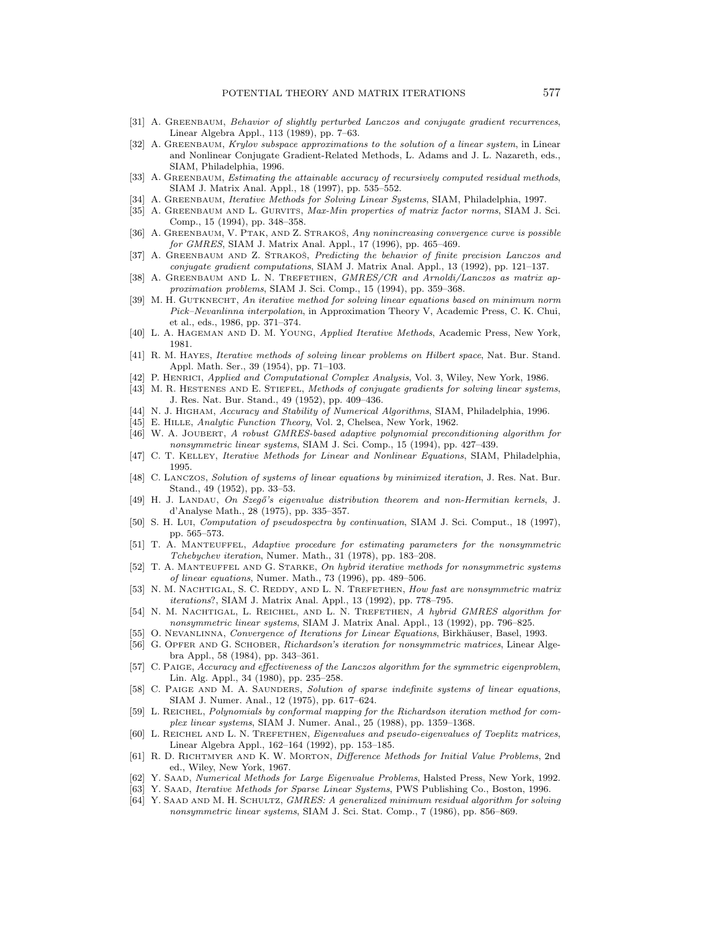- [31] A. GREENBAUM, Behavior of slightly perturbed Lanczos and conjugate gradient recurrences, Linear Algebra Appl., 113 (1989), pp. 7–63.
- [32] A. GREENBAUM, Krylov subspace approximations to the solution of a linear system, in Linear and Nonlinear Conjugate Gradient-Related Methods, L. Adams and J. L. Nazareth, eds., SIAM, Philadelphia, 1996.
- [33] A. GREENBAUM, *Estimating the attainable accuracy of recursively computed residual methods*, SIAM J. Matrix Anal. Appl., 18 (1997), pp. 535–552.
- [34] A. GREENBAUM, Iterative Methods for Solving Linear Systems, SIAM, Philadelphia, 1997.
- [35] A. GREENBAUM AND L. GURVITS, Max-Min properties of matrix factor norms, SIAM J. Sci. Comp., 15 (1994), pp. 348–358.
- [36] A. GREENBAUM, V. PTAK, AND Z. STRAKOŠ, Any nonincreasing convergence curve is possible for GMRES, SIAM J. Matrix Anal. Appl., 17 (1996), pp. 465–469.
- [37] A. GREENBAUM AND Z. STRAKOS, Predicting the behavior of finite precision Lanczos and conjugate gradient computations, SIAM J. Matrix Anal. Appl., 13 (1992), pp. 121–137.
- [38] A. GREENBAUM AND L. N. TREFETHEN, GMRES/CR and Arnoldi/Lanczos as matrix approximation problems, SIAM J. Sci. Comp., 15 (1994), pp. 359–368.
- [39] M. H. GUTKNECHT, An iterative method for solving linear equations based on minimum norm Pick–Nevanlinna interpolation, in Approximation Theory V, Academic Press, C. K. Chui, et al., eds., 1986, pp. 371–374.
- [40] L. A. HAGEMAN AND D. M. YOUNG, Applied Iterative Methods, Academic Press, New York, 1981.
- [41] R. M. HAYES, Iterative methods of solving linear problems on Hilbert space, Nat. Bur. Stand. Appl. Math. Ser., 39 (1954), pp. 71–103.
- [42] P. HENRICI, Applied and Computational Complex Analysis, Vol. 3, Wiley, New York, 1986.
- [43] M. R. HESTENES AND E. STIEFEL, Methods of conjugate gradients for solving linear systems, J. Res. Nat. Bur. Stand., 49 (1952), pp. 409–436.
- [44] N. J. HIGHAM, Accuracy and Stability of Numerical Algorithms, SIAM, Philadelphia, 1996.
- [45] E. HILLE, Analytic Function Theory, Vol. 2, Chelsea, New York, 1962.
- [46] W. A. JOUBERT, A robust GMRES-based adaptive polynomial preconditioning algorithm for nonsymmetric linear systems, SIAM J. Sci. Comp., 15 (1994), pp. 427–439.
- [47] C. T. KELLEY, Iterative Methods for Linear and Nonlinear Equations, SIAM, Philadelphia, 1995.
- [48] C. LANCZOS, Solution of systems of linear equations by minimized iteration, J. Res. Nat. Bur. Stand., 49 (1952), pp. 33–53.
- [49] H. J. LANDAU, On Szegő's eigenvalue distribution theorem and non-Hermitian kernels, J. d'Analyse Math., 28 (1975), pp. 335–357.
- [50] S. H. LUI, Computation of pseudospectra by continuation, SIAM J. Sci. Comput., 18 (1997), pp. 565–573.
- [51] T. A. MANTEUFFEL, Adaptive procedure for estimating parameters for the nonsymmetric Tchebychev iteration, Numer. Math., 31 (1978), pp. 183–208.
- [52] T. A. MANTEUFFEL AND G. STARKE, On hybrid iterative methods for nonsymmetric systems of linear equations, Numer. Math., 73 (1996), pp. 489–506.
- [53] N. M. NACHTIGAL, S. C. REDDY, AND L. N. TREFETHEN, How fast are nonsymmetric matrix iterations?, SIAM J. Matrix Anal. Appl., 13 (1992), pp. 778–795.
- [54] N. M. NACHTIGAL, L. REICHEL, AND L. N. TREFETHEN, A hybrid GMRES algorithm for nonsymmetric linear systems, SIAM J. Matrix Anal. Appl., 13 (1992), pp. 796–825.
- [55] O. NEVANLINNA, Convergence of Iterations for Linear Equations, Birkhäuser, Basel, 1993.
- [56] G. OPFER AND G. SCHOBER, Richardson's iteration for nonsymmetric matrices, Linear Algebra Appl., 58 (1984), pp. 343–361.
- [57] C. PAIGE, Accuracy and effectiveness of the Lanczos algorithm for the symmetric eigenproblem, Lin. Alg. Appl., 34 (1980), pp. 235–258.
- [58] C. PAIGE AND M. A. SAUNDERS, Solution of sparse indefinite systems of linear equations, SIAM J. Numer. Anal., 12 (1975), pp. 617–624.
- [59] L. REICHEL, Polynomials by conformal mapping for the Richardson iteration method for complex linear systems, SIAM J. Numer. Anal., 25 (1988), pp. 1359–1368.
- [60] L. REICHEL AND L. N. TREFETHEN, Eigenvalues and pseudo-eigenvalues of Toeplitz matrices, Linear Algebra Appl., 162–164 (1992), pp. 153–185.
- [61] R. D. RICHTMYER AND K. W. MORTON, Difference Methods for Initial Value Problems, 2nd ed., Wiley, New York, 1967.
- [62] Y. SAAD, Numerical Methods for Large Eigenvalue Problems, Halsted Press, New York, 1992.
- [63] Y. SAAD, Iterative Methods for Sparse Linear Systems, PWS Publishing Co., Boston, 1996. [64] Y. SAAD AND M. H. SCHULTZ, GMRES: A generalized minimum residual algorithm for solving
- nonsymmetric linear systems, SIAM J. Sci. Stat. Comp., 7 (1986), pp. 856–869.